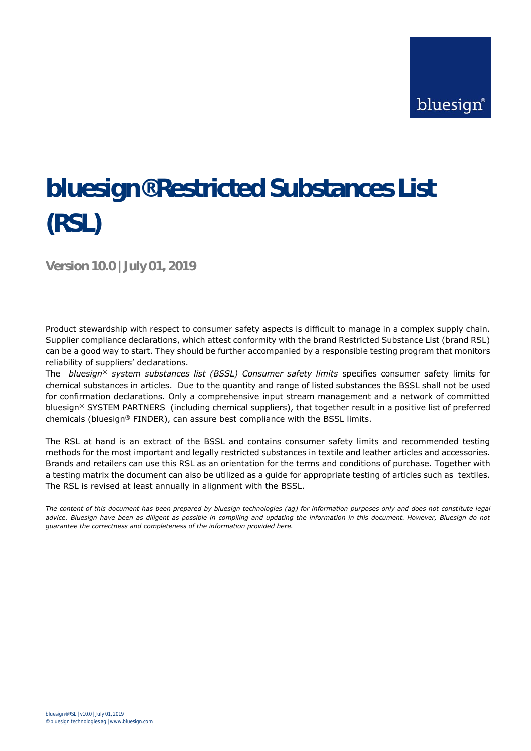# **bluesign® Restricted Substances List (RSL)**

**Version 10.0 | July 01, 2019**

Product stewardship with respect to consumer safety aspects is difficult to manage in a complex supply chain. Supplier compliance declarations, which attest conformity with the brand Restricted Substance List (brand RSL) can be a good way to start. They should be further accompanied by a responsible testing program that monitors reliability of suppliers' declarations.

The *bluesign® system substances list (BSSL) Consumer safety limits* specifies consumer safety limits for chemical substances in articles. Due to the quantity and range of listed substances the BSSL shall not be used for confirmation declarations. Only a comprehensive input stream management and a network of committed bluesign® SYSTEM PARTNERS (including chemical suppliers), that together result in a positive list of preferred chemicals (bluesign® FINDER), can assure best compliance with the BSSL limits.

The RSL at hand is an extract of the BSSL and contains consumer safety limits and recommended testing methods for the most important and legally restricted substances in textile and leather articles and accessories. Brands and retailers can use this RSL as an orientation for the terms and conditions of purchase. Together with a testing matrix the document can also be utilized as a guide for appropriate testing of articles such as textiles. The RSL is revised at least annually in alignment with the BSSL.

*The content of this document has been prepared by bluesign technologies (ag) for information purposes only and does not constitute legal advice. Bluesign have been as diligent as possible in compiling and updating the information in this document. However, Bluesign do not guarantee the correctness and completeness of the information provided here.*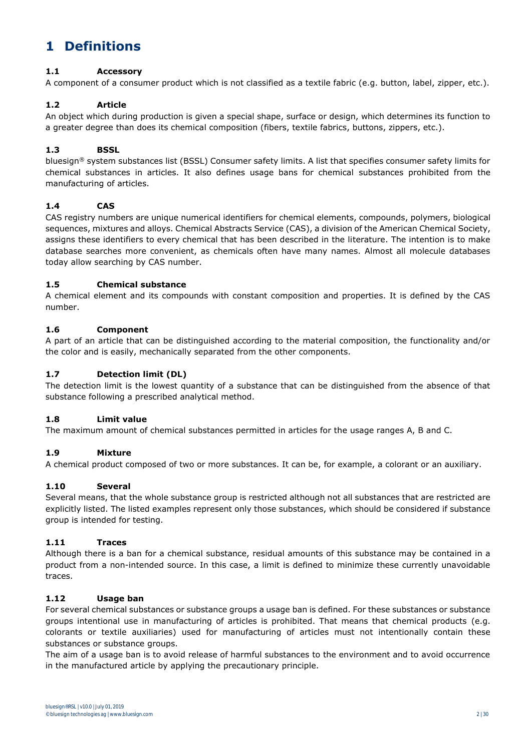## **1 Definitions**

#### **1.1 Accessory**

A component of a consumer product which is not classified as a textile fabric (e.g. button, label, zipper, etc.).

#### **1.2 Article**

An object which during production is given a special shape, surface or design, which determines its function to a greater degree than does its chemical composition (fibers, textile fabrics, buttons, zippers, etc.).

#### **1.3 BSSL**

bluesign® system substances list (BSSL) Consumer safety limits. A list that specifies consumer safety limits for chemical substances in articles. It also defines usage bans for chemical substances prohibited from the manufacturing of articles.

#### **1.4 CAS**

CAS registry numbers are unique numerical [identifiers](file://///asc005/wiki/Identifier) fo[r chemical elements,](file://///asc005/wiki/Chemical_element) [compounds,](file://///asc005/wiki/Chemical_compound) [polymers,](file://///asc005/wiki/Polymer) biological sequences, mixtures and [alloys.](file://///asc005/wiki/Alloy) [Chemical Abstracts Service](file://///asc005/wiki/Chemical_Abstracts_Service) (CAS), a division of the [American Chemical Society,](file://///asc005/wiki/American_Chemical_Society) assigns these identifiers to every chemical that has been described in the literature. The intention is to make database searches more convenient, as chemicals often have many names. Almost all molecule databases today allow searching by CAS number.

#### **1.5 Chemical substance**

A chemical element and its compounds with constant composition and properties. It is defined by the CAS number.

#### **1.6 Component**

A part of an article that can be distinguished according to the material composition, the functionality and/or the color and is easily, mechanically separated from the other components.

#### **1.7 Detection limit (DL)**

The detection limit is the lowest quantity of a substance that can be distinguished from the absence of that substance following a prescribed analytical method.

#### **1.8 Limit value**

The maximum amount of chemical substances permitted in articles for the usage ranges A, B and C.

#### **1.9 Mixture**

A chemical product composed of two or more substances. It can be, for example, a colorant or an auxiliary.

#### **1.10 Several**

Several means, that the whole substance group is restricted although not all substances that are restricted are explicitly listed. The listed examples represent only those substances, which should be considered if substance group is intended for testing.

#### **1.11 Traces**

Although there is a ban for a chemical substance, residual amounts of this substance may be contained in a product from a non-intended source. In this case, a limit is defined to minimize these currently unavoidable traces.

#### **1.12 Usage ban**

For several chemical substances or substance groups a usage ban is defined. For these substances or substance groups intentional use in manufacturing of articles is prohibited. That means that chemical products (e.g. colorants or textile auxiliaries) used for manufacturing of articles must not intentionally contain these substances or substance groups.

The aim of a usage ban is to avoid release of harmful substances to the environment and to avoid occurrence in the manufactured article by applying the precautionary principle.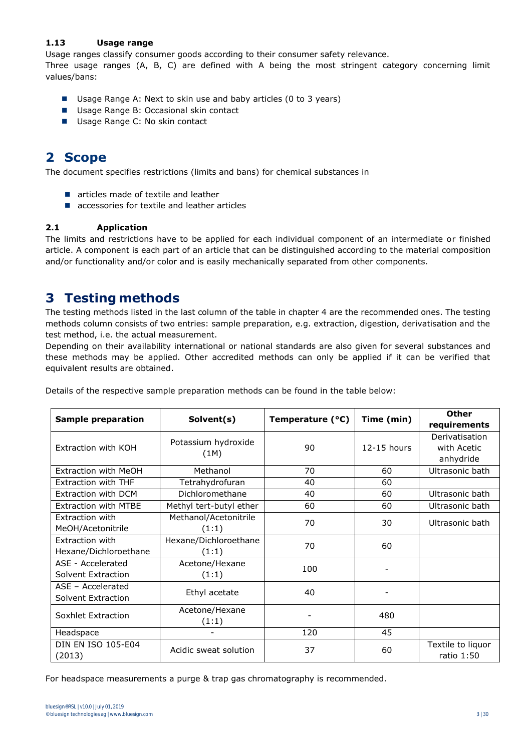#### **1.13 Usage range**

Usage ranges classify consumer goods according to their consumer safety relevance.

Three usage ranges (A, B, C) are defined with A being the most stringent category concerning limit values/bans:

- Usage Range A: Next to skin use and baby articles (0 to 3 years)
- Usage Range B: Occasional skin contact
- Usage Range C: No skin contact

## **2 Scope**

The document specifies restrictions (limits and bans) for chemical substances in

- articles made of textile and leather
- accessories for textile and leather articles

#### **2.1 Application**

The limits and restrictions have to be applied for each individual component of an intermediate or finished article. A component is each part of an article that can be distinguished according to the material composition and/or functionality and/or color and is easily mechanically separated from other components.

### **3 Testing methods**

The testing methods listed in the last column of the table in chapter 4 are the recommended ones. The testing methods column consists of two entries: sample preparation, e.g. extraction, digestion, derivatisation and the test method, i.e. the actual measurement.

Depending on their availability international or national standards are also given for several substances and these methods may be applied. Other accredited methods can only be applied if it can be verified that equivalent results are obtained.

|                             |                         |                  | Time (min)    | <b>Other</b>      |
|-----------------------------|-------------------------|------------------|---------------|-------------------|
| Sample preparation          | Solvent(s)              | Temperature (°C) |               | requirements      |
|                             | Potassium hydroxide     |                  |               | Derivatisation    |
| Extraction with KOH         | (1M)                    | 90               | $12-15$ hours | with Acetic       |
|                             |                         |                  |               | anhydride         |
| Extraction with MeOH        | Methanol                | 70               | 60            | Ultrasonic bath   |
| <b>Extraction with THF</b>  | Tetrahydrofuran         | 40               | 60            |                   |
| Extraction with DCM         | Dichloromethane         | 40               | 60            | Ultrasonic bath   |
| <b>Extraction with MTBE</b> | Methyl tert-butyl ether | 60               | 60            | Ultrasonic bath   |
| Extraction with             | Methanol/Acetonitrile   | 70               | 30            | Ultrasonic bath   |
| MeOH/Acetonitrile           | (1:1)                   |                  |               |                   |
| Extraction with             | Hexane/Dichloroethane   | 70               | 60            |                   |
| Hexane/Dichloroethane       | (1:1)                   |                  |               |                   |
| ASE - Accelerated           | Acetone/Hexane          | 100              |               |                   |
| Solvent Extraction          | (1:1)                   |                  |               |                   |
| ASE - Accelerated           |                         | 40               |               |                   |
| Solvent Extraction          | Ethyl acetate           |                  |               |                   |
| Soxhlet Extraction          | Acetone/Hexane          |                  | 480           |                   |
|                             | (1:1)                   |                  |               |                   |
| Headspace                   |                         | 120              | 45            |                   |
| <b>DIN EN ISO 105-E04</b>   | Acidic sweat solution   | 37               | 60            | Textile to liquor |
| (2013)                      |                         |                  |               | ratio 1:50        |

Details of the respective sample preparation methods can be found in the table below:

For headspace measurements a purge & trap gas chromatography is recommended.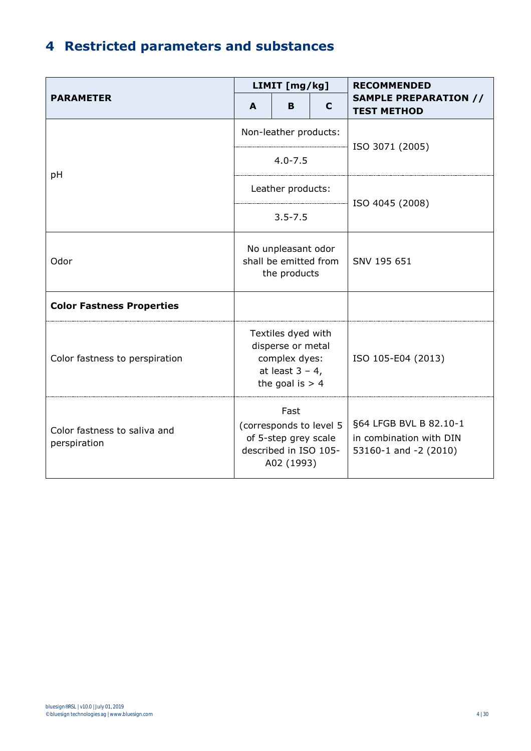## **4 Restricted parameters and substances**

|                                              |                                                                                                     | LIMIT [mg/kg]         |   | <b>RECOMMENDED</b>                                                           |
|----------------------------------------------|-----------------------------------------------------------------------------------------------------|-----------------------|---|------------------------------------------------------------------------------|
| <b>PARAMETER</b>                             | A                                                                                                   | B                     | C | <b>SAMPLE PREPARATION //</b><br><b>TEST METHOD</b>                           |
|                                              |                                                                                                     | Non-leather products: |   | ISO 3071 (2005)                                                              |
| рH                                           |                                                                                                     | $4.0 - 7.5$           |   |                                                                              |
|                                              |                                                                                                     | Leather products:     |   | ISO 4045 (2008)                                                              |
|                                              |                                                                                                     | $3.5 - 7.5$           |   |                                                                              |
| Odor                                         | No unpleasant odor<br>shall be emitted from<br>the products                                         |                       |   | SNV 195 651                                                                  |
| <b>Color Fastness Properties</b>             |                                                                                                     |                       |   |                                                                              |
| Color fastness to perspiration               | Textiles dyed with<br>disperse or metal<br>complex dyes:<br>at least $3 - 4$ ,<br>the goal is $> 4$ |                       |   | ISO 105-E04 (2013)                                                           |
| Color fastness to saliva and<br>perspiration | Fast<br>(corresponds to level 5<br>of 5-step grey scale<br>described in ISO 105-<br>A02 (1993)      |                       |   | §64 LFGB BVL B 82.10-1<br>in combination with DIN<br>53160-1 and $-2$ (2010) |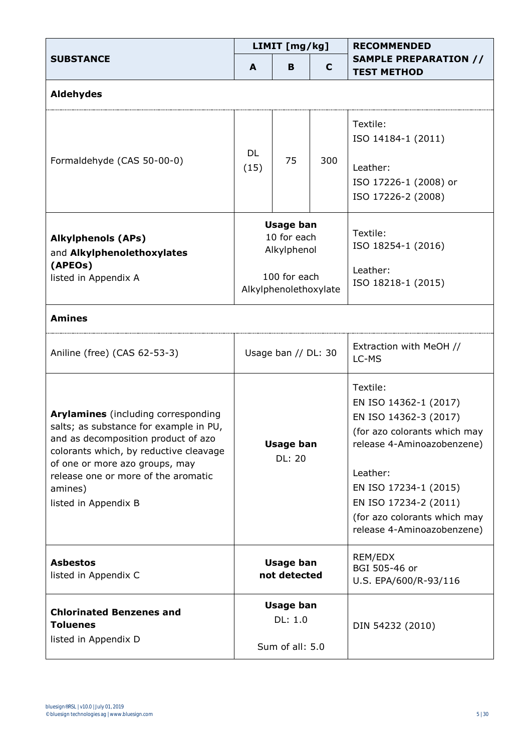|                                                                                                                                                                                                                                                                            |                                                                                         | LIMIT [mg/kg] |     | <b>RECOMMENDED</b>                                                                                                                                                                                                                                   |  |
|----------------------------------------------------------------------------------------------------------------------------------------------------------------------------------------------------------------------------------------------------------------------------|-----------------------------------------------------------------------------------------|---------------|-----|------------------------------------------------------------------------------------------------------------------------------------------------------------------------------------------------------------------------------------------------------|--|
| <b>SUBSTANCE</b>                                                                                                                                                                                                                                                           | A                                                                                       | B             | C   | <b>SAMPLE PREPARATION //</b><br><b>TEST METHOD</b>                                                                                                                                                                                                   |  |
| <b>Aldehydes</b>                                                                                                                                                                                                                                                           |                                                                                         |               |     |                                                                                                                                                                                                                                                      |  |
| Formaldehyde (CAS 50-00-0)                                                                                                                                                                                                                                                 | DL<br>(15)                                                                              | 75            | 300 | Textile:<br>ISO 14184-1 (2011)<br>Leather:<br>ISO 17226-1 (2008) or<br>ISO 17226-2 (2008)                                                                                                                                                            |  |
| <b>Alkylphenols (APs)</b><br>and Alkylphenolethoxylates<br>(APEOs)<br>listed in Appendix A                                                                                                                                                                                 | <b>Usage ban</b><br>10 for each<br>Alkylphenol<br>100 for each<br>Alkylphenolethoxylate |               |     | Textile:<br>ISO 18254-1 (2016)<br>Leather:<br>ISO 18218-1 (2015)                                                                                                                                                                                     |  |
| <b>Amines</b>                                                                                                                                                                                                                                                              |                                                                                         |               |     |                                                                                                                                                                                                                                                      |  |
| Aniline (free) (CAS 62-53-3)                                                                                                                                                                                                                                               | Usage ban // DL: 30                                                                     |               |     | Extraction with MeOH //<br>LC-MS                                                                                                                                                                                                                     |  |
| Arylamines (including corresponding<br>salts; as substance for example in PU,<br>and as decomposition product of azo<br>colorants which, by reductive cleavage<br>of one or more azo groups, may<br>release one or more of the aromatic<br>amines)<br>listed in Appendix B | <b>Usage ban</b><br><b>DL: 20</b>                                                       |               |     | Textile:<br>EN ISO 14362-1 (2017)<br>EN ISO 14362-3 (2017)<br>(for azo colorants which may<br>release 4-Aminoazobenzene)<br>Leather:<br>EN ISO 17234-1 (2015)<br>EN ISO 17234-2 (2011)<br>(for azo colorants which may<br>release 4-Aminoazobenzene) |  |
| <b>Asbestos</b><br>listed in Appendix C                                                                                                                                                                                                                                    | Usage ban<br>not detected                                                               |               |     | REM/EDX<br>BGI 505-46 or<br>U.S. EPA/600/R-93/116                                                                                                                                                                                                    |  |
| <b>Chlorinated Benzenes and</b><br><b>Toluenes</b><br>listed in Appendix D                                                                                                                                                                                                 | <b>Usage ban</b><br>DL: 1.0<br>Sum of all: 5.0                                          |               |     | DIN 54232 (2010)                                                                                                                                                                                                                                     |  |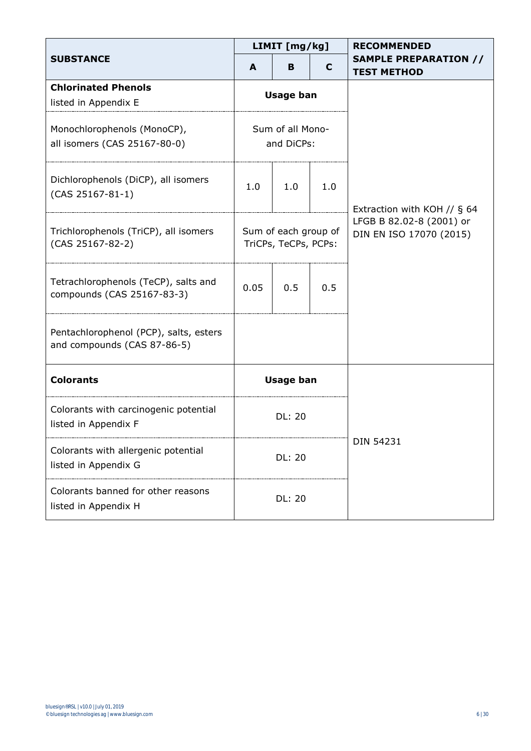|                                                                       |                                              | LIMIT [mg/kg] |           | <b>RECOMMENDED</b>                                  |
|-----------------------------------------------------------------------|----------------------------------------------|---------------|-----------|-----------------------------------------------------|
| <b>SUBSTANCE</b>                                                      | A                                            | в             | C         | <b>SAMPLE PREPARATION //</b><br><b>TEST METHOD</b>  |
| <b>Chlorinated Phenols</b><br>listed in Appendix E                    | <b>Usage ban</b>                             |               |           |                                                     |
| Monochlorophenols (MonoCP),<br>all isomers (CAS 25167-80-0)           | Sum of all Mono-<br>and DiCPs:               |               |           |                                                     |
| Dichlorophenols (DiCP), all isomers<br>$(CAS 25167-81-1)$             | 1.0                                          | 1.0           | 1.0       | Extraction with KOH // $\S$ 64                      |
| Trichlorophenols (TriCP), all isomers<br>(CAS 25167-82-2)             | Sum of each group of<br>TriCPs, TeCPs, PCPs: |               |           | LFGB B 82.02-8 (2001) or<br>DIN EN ISO 17070 (2015) |
| Tetrachlorophenols (TeCP), salts and<br>compounds (CAS 25167-83-3)    | 0.05                                         | 0.5           | 0.5       |                                                     |
| Pentachlorophenol (PCP), salts, esters<br>and compounds (CAS 87-86-5) |                                              |               |           |                                                     |
| <b>Colorants</b>                                                      | <b>Usage ban</b>                             |               |           |                                                     |
| Colorants with carcinogenic potential<br>listed in Appendix F         | <b>DL: 20</b>                                |               |           |                                                     |
| Colorants with allergenic potential<br>listed in Appendix G           | <b>DL: 20</b>                                |               | DIN 54231 |                                                     |
| Colorants banned for other reasons<br>listed in Appendix H            |                                              | <b>DL: 20</b> |           |                                                     |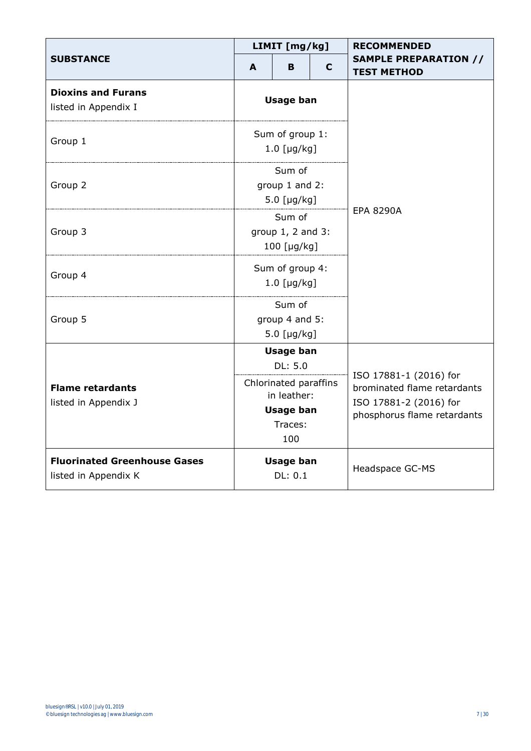|                                                             |                                                                                                           | LIMIT [mg/kg]               |   | <b>RECOMMENDED</b>                                                                                             |
|-------------------------------------------------------------|-----------------------------------------------------------------------------------------------------------|-----------------------------|---|----------------------------------------------------------------------------------------------------------------|
| <b>SUBSTANCE</b>                                            | A                                                                                                         | B.                          | C | <b>SAMPLE PREPARATION //</b><br><b>TEST METHOD</b>                                                             |
| <b>Dioxins and Furans</b><br>listed in Appendix I           | <b>Usage ban</b>                                                                                          |                             |   |                                                                                                                |
| Group 1                                                     | Sum of group 1:<br>$1.0$ [µg/kg]                                                                          |                             |   |                                                                                                                |
| Group 2                                                     | Sum of<br>group 1 and 2:<br>$5.0$ [µg/kg]                                                                 |                             |   |                                                                                                                |
| Group 3                                                     | Sum of<br>group 1, 2 and 3:<br>100 [µg/kg]                                                                |                             |   | <b>EPA 8290A</b>                                                                                               |
| Group 4                                                     | Sum of group 4:<br>$1.0$ [µg/kg]                                                                          |                             |   |                                                                                                                |
| Group 5                                                     | Sum of<br>group 4 and 5:<br>$5.0$ [µg/kg]                                                                 |                             |   |                                                                                                                |
|                                                             | <b>Usage ban</b><br>DL: 5.0<br>Chlorinated paraffins<br>in leather:<br><b>Usage ban</b><br>Traces:<br>100 |                             |   |                                                                                                                |
| <b>Flame retardants</b><br>listed in Appendix J             |                                                                                                           |                             |   | ISO 17881-1 (2016) for<br>brominated flame retardants<br>ISO 17881-2 (2016) for<br>phosphorus flame retardants |
| <b>Fluorinated Greenhouse Gases</b><br>listed in Appendix K |                                                                                                           | <b>Usage ban</b><br>DL: 0.1 |   | Headspace GC-MS                                                                                                |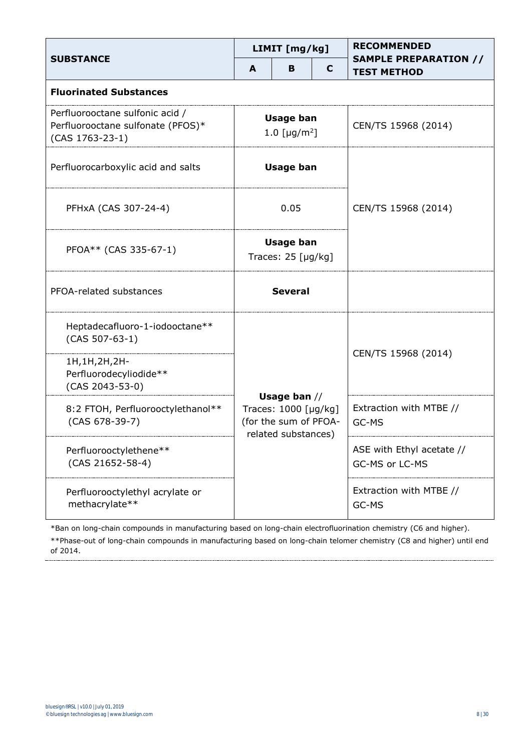|                                                                                         |                                                    | LIMIT [mg/kg]                                                   |   | <b>RECOMMENDED</b>                                 |
|-----------------------------------------------------------------------------------------|----------------------------------------------------|-----------------------------------------------------------------|---|----------------------------------------------------|
| <b>SUBSTANCE</b>                                                                        | A                                                  | в                                                               | C | <b>SAMPLE PREPARATION //</b><br><b>TEST METHOD</b> |
| <b>Fluorinated Substances</b>                                                           |                                                    |                                                                 |   |                                                    |
| Perfluorooctane sulfonic acid /<br>Perfluorooctane sulfonate (PFOS)*<br>(CAS 1763-23-1) | <b>Usage ban</b><br>1.0 [ $\mu$ g/m <sup>2</sup> ] |                                                                 |   | CEN/TS 15968 (2014)                                |
| Perfluorocarboxylic acid and salts                                                      |                                                    | <b>Usage ban</b>                                                |   |                                                    |
| PFHxA (CAS 307-24-4)<br>0.05                                                            |                                                    | CEN/TS 15968 (2014)                                             |   |                                                    |
| PFOA** (CAS 335-67-1)                                                                   | <b>Usage ban</b><br>Traces: $25$ [µg/kg]           |                                                                 |   |                                                    |
| PFOA-related substances                                                                 | <b>Several</b>                                     |                                                                 |   |                                                    |
| Heptadecafluoro-1-iodooctane**<br>$(CAS 507-63-1)$                                      |                                                    |                                                                 |   |                                                    |
| 1H, 1H, 2H, 2H-<br>Perfluorodecyliodide**<br>(CAS 2043-53-0)                            |                                                    | Usage ban $//$<br>Traces: 1000 [µg/kg]<br>(for the sum of PFOA- |   | CEN/TS 15968 (2014)                                |
| 8:2 FTOH, Perfluorooctylethanol**<br>$(CAS 678-39-7)$                                   |                                                    |                                                                 |   | Extraction with MTBE //<br>GC-MS                   |
| Perfluorooctylethene**<br>$(CAS 21652 - 58 - 4)$                                        | related substances)                                |                                                                 |   | ASE with Ethyl acetate //<br>GC-MS or LC-MS        |
| Perfluorooctylethyl acrylate or<br>methacrylate**                                       |                                                    |                                                                 |   | Extraction with MTBE //<br>GC-MS                   |

\*Ban on long-chain compounds in manufacturing based on long-chain electrofluorination chemistry (C6 and higher). \*\*Phase-out of long-chain compounds in manufacturing based on long-chain telomer chemistry (C8 and higher) until end of 2014.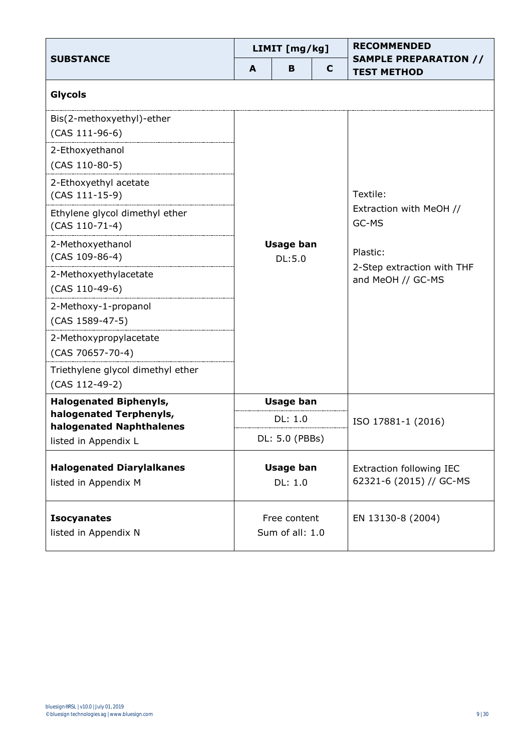|                                                          |                                 | LIMIT [mg/kg]    |   | <b>RECOMMENDED</b>                                          |
|----------------------------------------------------------|---------------------------------|------------------|---|-------------------------------------------------------------|
| <b>SUBSTANCE</b>                                         | A                               | B                | C | <b>SAMPLE PREPARATION //</b><br><b>TEST METHOD</b>          |
| Glycols                                                  |                                 |                  |   |                                                             |
| Bis(2-methoxyethyl)-ether<br>$(CAS 111-96-6)$            |                                 |                  |   |                                                             |
| 2-Ethoxyethanol<br>(CAS 110-80-5)                        |                                 |                  |   |                                                             |
| 2-Ethoxyethyl acetate<br>$(CAS 111-15-9)$                |                                 |                  |   | Textile:                                                    |
| Ethylene glycol dimethyl ether<br>$(CAS 110-71-4)$       | <b>Usage ban</b><br>DL:5.0      |                  |   | Extraction with MeOH //<br>GC-MS                            |
| 2-Methoxyethanol<br>(CAS 109-86-4)                       |                                 |                  |   | Plastic:<br>2-Step extraction with THF<br>and MeOH // GC-MS |
| 2-Methoxyethylacetate<br>$(CAS 110-49-6)$                |                                 |                  |   |                                                             |
| 2-Methoxy-1-propanol<br>(CAS 1589-47-5)                  |                                 |                  |   |                                                             |
| 2-Methoxypropylacetate<br>$(CAS 70657 - 70 - 4)$         |                                 |                  |   |                                                             |
| Triethylene glycol dimethyl ether<br>(CAS 112-49-2)      |                                 |                  |   |                                                             |
| <b>Halogenated Biphenyls,</b>                            |                                 | <b>Usage ban</b> |   |                                                             |
| halogenated Terphenyls,<br>halogenated Naphthalenes      |                                 | DL: 1.0          |   | ISO 17881-1 (2016)                                          |
| listed in Appendix L                                     |                                 | DL: 5.0 (PBBs)   |   |                                                             |
| <b>Halogenated Diarylalkanes</b><br>listed in Appendix M | <b>Usage ban</b><br>DL: 1.0     |                  |   | Extraction following IEC<br>62321-6 (2015) // GC-MS         |
| <b>Isocyanates</b><br>listed in Appendix N               | Free content<br>Sum of all: 1.0 |                  |   | EN 13130-8 (2004)                                           |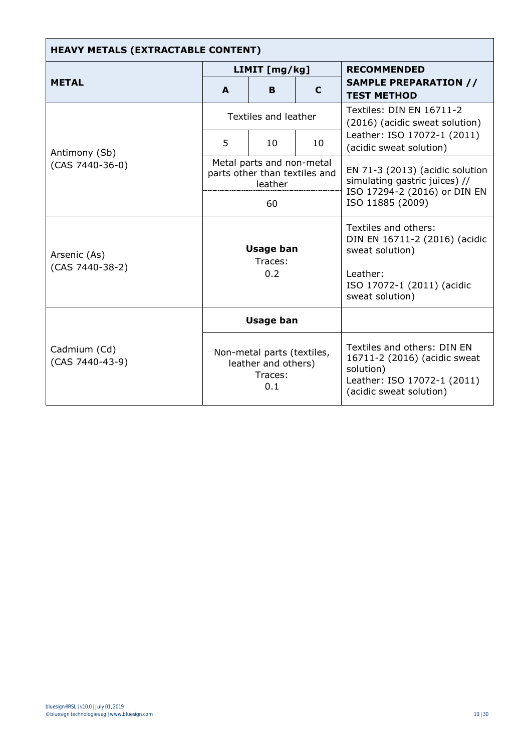| <b>HEAVY METALS (EXTRACTABLE CONTENT)</b>                                                                                  |                                    |                      |    |                                                                                                                                       |  |  |
|----------------------------------------------------------------------------------------------------------------------------|------------------------------------|----------------------|----|---------------------------------------------------------------------------------------------------------------------------------------|--|--|
|                                                                                                                            |                                    | LIMIT [mg/kg]        |    | <b>RECOMMENDED</b>                                                                                                                    |  |  |
| <b>METAL</b>                                                                                                               | A                                  | B.                   | C  | <b>SAMPLE PREPARATION //</b><br><b>TEST METHOD</b>                                                                                    |  |  |
|                                                                                                                            |                                    | Textiles and leather |    | Textiles: DIN EN 16711-2<br>(2016) (acidic sweat solution)                                                                            |  |  |
| Antimony (Sb)                                                                                                              | 5                                  | 10 <sup>1</sup>      | 10 | Leather: ISO 17072-1 (2011)<br>(acidic sweat solution)                                                                                |  |  |
| Metal parts and non-metal<br>$(CAS 7440-36-0)$<br>parts other than textiles and<br>leather<br>60                           |                                    |                      |    | EN 71-3 (2013) (acidic solution<br>simulating gastric juices) //<br>ISO 17294-2 (2016) or DIN EN<br>ISO 11885 (2009)                  |  |  |
| Arsenic (As)<br>(CAS 7440-38-2)                                                                                            | <b>Usage ban</b><br>Traces:<br>0.2 |                      |    | Textiles and others:<br>DIN EN 16711-2 (2016) (acidic<br>sweat solution)<br>Leather:<br>ISO 17072-1 (2011) (acidic<br>sweat solution) |  |  |
| <b>Usage ban</b><br>Cadmium (Cd)<br>Non-metal parts (textiles,<br>(CAS 7440-43-9)<br>leather and others)<br>Traces:<br>0.1 |                                    |                      |    |                                                                                                                                       |  |  |
|                                                                                                                            |                                    |                      |    | Textiles and others: DIN EN<br>16711-2 (2016) (acidic sweat<br>solution)<br>Leather: ISO 17072-1 (2011)<br>(acidic sweat solution)    |  |  |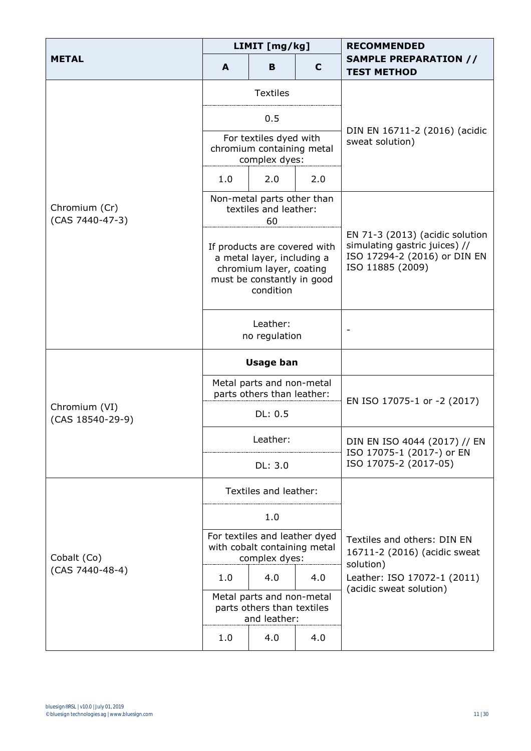|                                   | LIMIT [mg/kg] |                                                                                                                                  |     |                                                                                                                      |
|-----------------------------------|---------------|----------------------------------------------------------------------------------------------------------------------------------|-----|----------------------------------------------------------------------------------------------------------------------|
| <b>METAL</b>                      | A             | в                                                                                                                                | C   | <b>SAMPLE PREPARATION //</b><br><b>TEST METHOD</b>                                                                   |
|                                   |               | <b>Textiles</b>                                                                                                                  |     |                                                                                                                      |
|                                   |               | 0.5                                                                                                                              |     |                                                                                                                      |
|                                   |               | For textiles dyed with<br>chromium containing metal<br>complex dyes:                                                             |     | DIN EN 16711-2 (2016) (acidic<br>sweat solution)                                                                     |
|                                   | 1.0           | 2.0                                                                                                                              | 2.0 |                                                                                                                      |
| Chromium (Cr)<br>(CAS 7440-47-3)  |               | Non-metal parts other than<br>textiles and leather:<br>60                                                                        |     |                                                                                                                      |
|                                   |               | If products are covered with<br>a metal layer, including a<br>chromium layer, coating<br>must be constantly in good<br>condition |     | EN 71-3 (2013) (acidic solution<br>simulating gastric juices) //<br>ISO 17294-2 (2016) or DIN EN<br>ISO 11885 (2009) |
|                                   |               | Leather:<br>no regulation                                                                                                        |     | $\overline{\phantom{a}}$                                                                                             |
|                                   |               | <b>Usage ban</b>                                                                                                                 |     |                                                                                                                      |
|                                   |               | Metal parts and non-metal<br>parts others than leather:                                                                          |     |                                                                                                                      |
| Chromium (VI)<br>(CAS 18540-29-9) |               | DL: 0.5                                                                                                                          |     | EN ISO 17075-1 or -2 (2017)                                                                                          |
|                                   |               | Leather:                                                                                                                         |     | DIN EN ISO 4044 (2017) // EN                                                                                         |
|                                   |               | DL: 3.0                                                                                                                          |     | ISO 17075-1 (2017-) or EN<br>ISO 17075-2 (2017-05)                                                                   |
|                                   |               | Textiles and leather:                                                                                                            |     |                                                                                                                      |
|                                   |               | 1.0                                                                                                                              |     |                                                                                                                      |
| Cobalt (Co)<br>(CAS 7440-48-4)    |               | For textiles and leather dyed<br>with cobalt containing metal<br>complex dyes:                                                   |     | Textiles and others: DIN EN<br>16711-2 (2016) (acidic sweat<br>solution)                                             |
|                                   | 1.0           | 4.0                                                                                                                              | 4.0 | Leather: ISO 17072-1 (2011)                                                                                          |
|                                   |               | Metal parts and non-metal<br>parts others than textiles<br>and leather:                                                          |     | (acidic sweat solution)                                                                                              |
|                                   | 1.0           | 4.0                                                                                                                              | 4.0 |                                                                                                                      |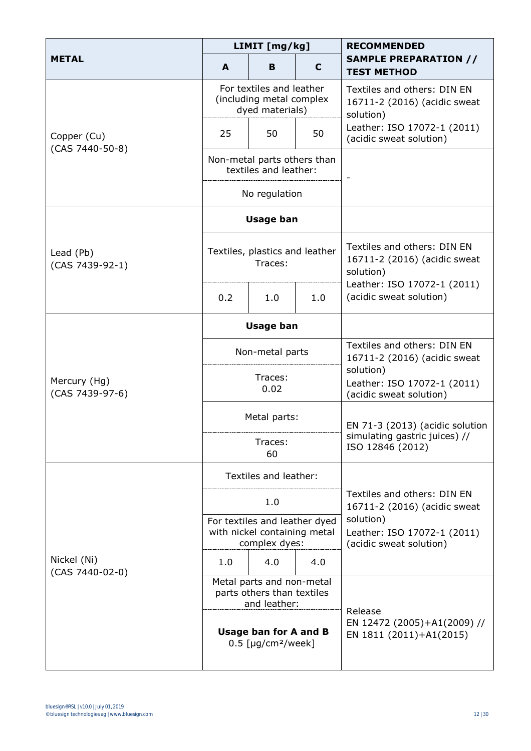|                                 |                                                                  | LIMIT [mg/kg]                                                                  |     | <b>RECOMMENDED</b>                                                                                      |  |  |
|---------------------------------|------------------------------------------------------------------|--------------------------------------------------------------------------------|-----|---------------------------------------------------------------------------------------------------------|--|--|
| <b>METAL</b>                    | A                                                                | в                                                                              | C   | <b>SAMPLE PREPARATION //</b><br><b>TEST METHOD</b>                                                      |  |  |
|                                 |                                                                  | For textiles and leather<br>(including metal complex<br>dyed materials)        |     | Textiles and others: DIN EN<br>16711-2 (2016) (acidic sweat<br>solution)                                |  |  |
| Copper (Cu)<br>(CAS 7440-50-8)  | 25                                                               | 50                                                                             | 50  | Leather: ISO 17072-1 (2011)<br>(acidic sweat solution)                                                  |  |  |
|                                 |                                                                  | Non-metal parts others than<br>textiles and leather:                           |     |                                                                                                         |  |  |
|                                 |                                                                  | No regulation                                                                  |     |                                                                                                         |  |  |
|                                 |                                                                  | <b>Usage ban</b>                                                               |     |                                                                                                         |  |  |
| Lead (Pb)<br>(CAS 7439-92-1)    |                                                                  | Textiles, plastics and leather<br>Traces:                                      |     | Textiles and others: DIN EN<br>16711-2 (2016) (acidic sweat<br>solution)<br>Leather: ISO 17072-1 (2011) |  |  |
|                                 | 0.2                                                              | 1.0                                                                            | 1.0 | (acidic sweat solution)                                                                                 |  |  |
|                                 |                                                                  | <b>Usage ban</b>                                                               |     |                                                                                                         |  |  |
|                                 |                                                                  | Non-metal parts                                                                |     | Textiles and others: DIN EN<br>16711-2 (2016) (acidic sweat                                             |  |  |
| Mercury (Hg)<br>(CAS 7439-97-6) |                                                                  | Traces:<br>0.02                                                                |     | solution)<br>Leather: ISO 17072-1 (2011)<br>(acidic sweat solution)                                     |  |  |
|                                 |                                                                  | Metal parts:                                                                   |     | EN 71-3 (2013) (acidic solution<br>simulating gastric juices) //<br>ISO 12846 (2012)                    |  |  |
|                                 |                                                                  | Traces:<br>60                                                                  |     |                                                                                                         |  |  |
|                                 |                                                                  | Textiles and leather:                                                          |     |                                                                                                         |  |  |
|                                 |                                                                  | 1.0                                                                            |     | Textiles and others: DIN EN<br>16711-2 (2016) (acidic sweat                                             |  |  |
|                                 |                                                                  | For textiles and leather dyed<br>with nickel containing metal<br>complex dyes: |     | solution)<br>Leather: ISO 17072-1 (2011)<br>(acidic sweat solution)                                     |  |  |
| Nickel (Ni)                     | 1.0                                                              | 4.0                                                                            | 4.0 |                                                                                                         |  |  |
| (CAS 7440-02-0)                 |                                                                  | Metal parts and non-metal<br>parts others than textiles<br>and leather:        |     |                                                                                                         |  |  |
|                                 | <b>Usage ban for A and B</b><br>$0.5$ [µg/cm <sup>2</sup> /week] |                                                                                |     | Release<br>EN 12472 (2005)+A1(2009) //<br>EN 1811 (2011)+A1(2015)                                       |  |  |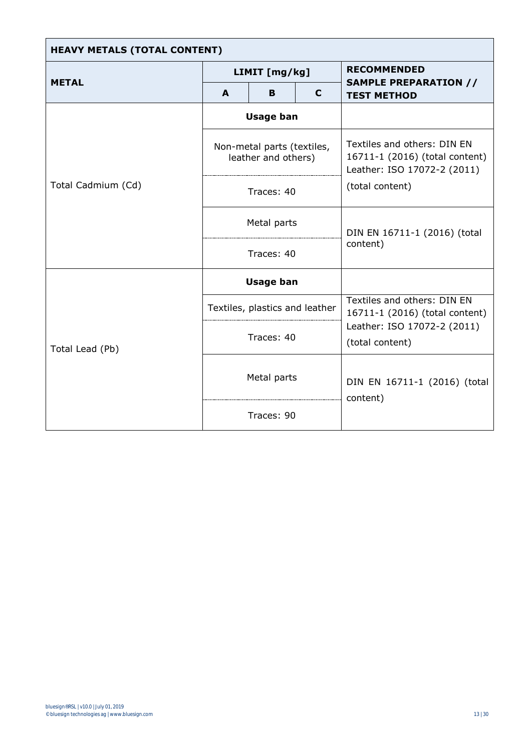| <b>HEAVY METALS (TOTAL CONTENT)</b> |             |                                                   |  |                                                                                                                 |  |  |  |
|-------------------------------------|-------------|---------------------------------------------------|--|-----------------------------------------------------------------------------------------------------------------|--|--|--|
|                                     |             | LIMIT [mg/kg]                                     |  | <b>RECOMMENDED</b>                                                                                              |  |  |  |
| <b>METAL</b>                        | A<br>в<br>C |                                                   |  | <b>SAMPLE PREPARATION //</b><br><b>TEST METHOD</b>                                                              |  |  |  |
|                                     |             | <b>Usage ban</b>                                  |  |                                                                                                                 |  |  |  |
| Total Cadmium (Cd)                  |             | Non-metal parts (textiles,<br>leather and others) |  | Textiles and others: DIN EN<br>16711-1 (2016) (total content)<br>Leather: ISO 17072-2 (2011)<br>(total content) |  |  |  |
|                                     |             | Traces: 40                                        |  |                                                                                                                 |  |  |  |
|                                     |             | Metal parts                                       |  | DIN EN 16711-1 (2016) (total<br>content)                                                                        |  |  |  |
|                                     |             | Traces: 40                                        |  |                                                                                                                 |  |  |  |
|                                     |             | <b>Usage ban</b>                                  |  |                                                                                                                 |  |  |  |
|                                     |             | Textiles, plastics and leather                    |  | Textiles and others: DIN EN<br>16711-1 (2016) (total content)<br>Leather: ISO 17072-2 (2011)<br>(total content) |  |  |  |
| Total Lead (Pb)                     |             | Traces: 40                                        |  |                                                                                                                 |  |  |  |
|                                     | Metal parts |                                                   |  | DIN EN 16711-1 (2016) (total<br>content)                                                                        |  |  |  |
|                                     |             | Traces: 90                                        |  |                                                                                                                 |  |  |  |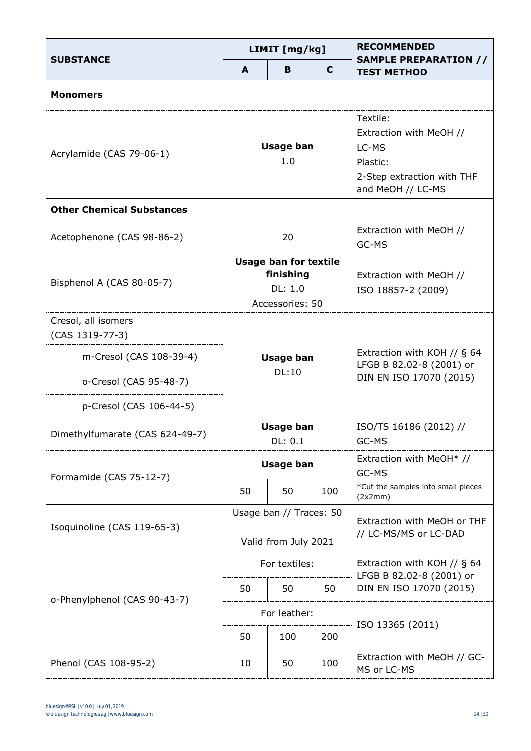| <b>SUBSTANCE</b>                       |    | LIMIT [mg/kg]                                                           |     | <b>RECOMMENDED</b><br><b>SAMPLE PREPARATION //</b>                                                          |
|----------------------------------------|----|-------------------------------------------------------------------------|-----|-------------------------------------------------------------------------------------------------------------|
|                                        | A  | в                                                                       | C   | <b>TEST METHOD</b>                                                                                          |
| <b>Monomers</b>                        |    |                                                                         |     |                                                                                                             |
| Acrylamide (CAS 79-06-1)               |    | <b>Usage ban</b><br>1.0                                                 |     | Textile:<br>Extraction with MeOH //<br>LC-MS<br>Plastic:<br>2-Step extraction with THF<br>and MeOH // LC-MS |
| <b>Other Chemical Substances</b>       |    |                                                                         |     |                                                                                                             |
| Acetophenone (CAS 98-86-2)             |    | 20                                                                      |     | Extraction with MeOH //<br>GC-MS                                                                            |
| Bisphenol A (CAS 80-05-7)              |    | <b>Usage ban for textile</b><br>finishing<br>DL: 1.0<br>Accessories: 50 |     | Extraction with MeOH //<br>ISO 18857-2 (2009)                                                               |
| Cresol, all isomers<br>(CAS 1319-77-3) |    |                                                                         |     | Extraction with KOH // $\S$ 64<br>LFGB B 82.02-8 (2001) or<br>DIN EN ISO 17070 (2015)                       |
| m-Cresol (CAS 108-39-4)                |    | <b>Usage ban</b>                                                        |     |                                                                                                             |
| o-Cresol (CAS 95-48-7)                 |    | DL:10                                                                   |     |                                                                                                             |
| p-Cresol (CAS 106-44-5)                |    |                                                                         |     |                                                                                                             |
| Dimethylfumarate (CAS 624-49-7)        |    | <b>Usage ban</b><br>DL: 0.1                                             |     | ISO/TS 16186 (2012) //<br>GC-MS                                                                             |
|                                        |    | <b>Usage ban</b>                                                        |     | Extraction with MeOH* //<br>GC-MS                                                                           |
| Formamide (CAS 75-12-7)                | 50 | 50                                                                      | 100 | *Cut the samples into small pieces<br>(2x2mm)                                                               |
| Isoquinoline (CAS 119-65-3)            |    | Usage ban // Traces: 50                                                 |     | Extraction with MeOH or THF                                                                                 |
|                                        |    | Valid from July 2021                                                    |     | // LC-MS/MS or LC-DAD                                                                                       |
|                                        |    | For textiles:                                                           |     | Extraction with KOH // $\S$ 64<br>LFGB B 82.02-8 (2001) or                                                  |
| o-Phenylphenol (CAS 90-43-7)           | 50 | 50                                                                      | 50  | DIN EN ISO 17070 (2015)                                                                                     |
|                                        |    | For leather:                                                            |     |                                                                                                             |
|                                        | 50 | 100                                                                     | 200 | ISO 13365 (2011)                                                                                            |
| Phenol (CAS 108-95-2)                  | 10 | 50                                                                      | 100 | Extraction with MeOH // GC-<br>MS or LC-MS                                                                  |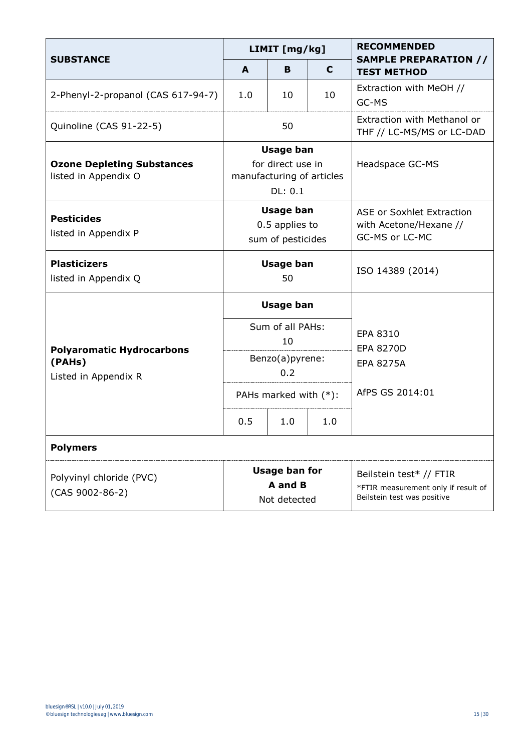| <b>SUBSTANCE</b>                                          | LIMIT [mg/kg]                                                                 |                        |                              | <b>RECOMMENDED</b>                                                                            |  |
|-----------------------------------------------------------|-------------------------------------------------------------------------------|------------------------|------------------------------|-----------------------------------------------------------------------------------------------|--|
|                                                           | A                                                                             | в                      | C                            | <b>SAMPLE PREPARATION //</b><br><b>TEST METHOD</b>                                            |  |
| 2-Phenyl-2-propanol (CAS 617-94-7)                        | 1.0                                                                           | 10                     | 10                           | Extraction with MeOH //<br>GC-MS                                                              |  |
| Quinoline (CAS 91-22-5)                                   |                                                                               | 50                     |                              | Extraction with Methanol or<br>THF // LC-MS/MS or LC-DAD                                      |  |
| <b>Ozone Depleting Substances</b><br>listed in Appendix O | <b>Usage ban</b><br>for direct use in<br>manufacturing of articles<br>DL: 0.1 |                        |                              | Headspace GC-MS                                                                               |  |
| <b>Pesticides</b><br>listed in Appendix P                 | <b>Usage ban</b><br>0.5 applies to<br>sum of pesticides                       |                        |                              | <b>ASE or Soxhlet Extraction</b><br>with Acetone/Hexane //<br>GC-MS or LC-MC                  |  |
| <b>Plasticizers</b><br>listed in Appendix Q               | <b>Usage ban</b><br>50                                                        |                        |                              | ISO 14389 (2014)                                                                              |  |
|                                                           | <b>Usage ban</b><br>Sum of all PAHs:<br>10                                    |                        | EPA 8310<br><b>EPA 8270D</b> |                                                                                               |  |
| <b>Polyaromatic Hydrocarbons</b>                          |                                                                               |                        |                              |                                                                                               |  |
| (PAHs)<br>Listed in Appendix R                            |                                                                               | Benzo(a)pyrene:<br>0.2 |                              | <b>EPA 8275A</b>                                                                              |  |
|                                                           | PAHs marked with (*):                                                         |                        |                              | AfPS GS 2014:01                                                                               |  |
|                                                           | 0.5                                                                           | 1.0                    | 1.0                          |                                                                                               |  |
| <b>Polymers</b>                                           |                                                                               |                        |                              |                                                                                               |  |
| Polyvinyl chloride (PVC)<br>(CAS 9002-86-2)               | <b>Usage ban for</b><br>A and B<br>Not detected                               |                        |                              | Beilstein test* // FTIR<br>*FTIR measurement only if result of<br>Beilstein test was positive |  |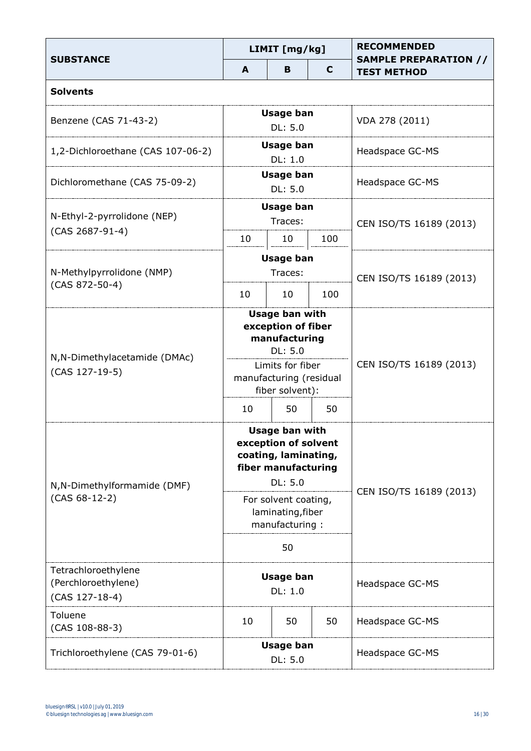| <b>SUBSTANCE</b>                                             | LIMIT [mg/kg]                                                                                           |                             |     | <b>RECOMMENDED</b><br><b>SAMPLE PREPARATION //</b> |  |
|--------------------------------------------------------------|---------------------------------------------------------------------------------------------------------|-----------------------------|-----|----------------------------------------------------|--|
|                                                              | A                                                                                                       | в                           | C   | <b>TEST METHOD</b>                                 |  |
| <b>Solvents</b>                                              |                                                                                                         |                             |     |                                                    |  |
| Benzene (CAS 71-43-2)                                        |                                                                                                         | <b>Usage ban</b><br>DL: 5.0 |     | VDA 278 (2011)                                     |  |
| 1,2-Dichloroethane (CAS 107-06-2)                            |                                                                                                         | Usage ban<br>DL: 1.0        |     | Headspace GC-MS                                    |  |
| Dichloromethane (CAS 75-09-2)                                |                                                                                                         | <b>Usage ban</b><br>DL: 5.0 |     | Headspace GC-MS                                    |  |
| N-Ethyl-2-pyrrolidone (NEP)<br>(CAS 2687-91-4)               |                                                                                                         | <b>Usage ban</b><br>Traces: |     | CEN ISO/TS 16189 (2013)                            |  |
|                                                              | 10                                                                                                      | 10                          | 100 |                                                    |  |
| N-Methylpyrrolidone (NMP)                                    |                                                                                                         | <b>Usage ban</b><br>Traces: |     | CEN ISO/TS 16189 (2013)                            |  |
| $(CAS 872-50-4)$                                             | 10                                                                                                      | 10                          | 100 |                                                    |  |
| N, N-Dimethylacetamide (DMAc)                                | <b>Usage ban with</b><br>exception of fiber<br>manufacturing<br>DL: 5.0                                 |                             |     |                                                    |  |
| (CAS 127-19-5)                                               | Limits for fiber<br>manufacturing (residual<br>fiber solvent):                                          |                             |     | CEN ISO/TS 16189 (2013)                            |  |
|                                                              | 10                                                                                                      | 50                          | 50  |                                                    |  |
| N, N-Dimethylformamide (DMF)                                 | <b>Usage ban with</b><br>exception of solvent<br>coating, laminating,<br>fiber manufacturing<br>DL: 5.0 |                             |     | CEN ISO/TS 16189 (2013)                            |  |
| $(CAS 68-12-2)$                                              | For solvent coating,<br>laminating, fiber<br>manufacturing:                                             |                             |     |                                                    |  |
|                                                              | 50                                                                                                      |                             |     |                                                    |  |
| Tetrachloroethylene<br>(Perchloroethylene)<br>(CAS 127-18-4) | <b>Usage ban</b><br>DL: 1.0                                                                             |                             |     | Headspace GC-MS                                    |  |
| Toluene<br>$(CAS 108-88-3)$                                  | 10                                                                                                      | 50                          | 50  | Headspace GC-MS                                    |  |
| Trichloroethylene (CAS 79-01-6)                              | <b>Usage ban</b><br>DL: 5.0                                                                             |                             |     | Headspace GC-MS                                    |  |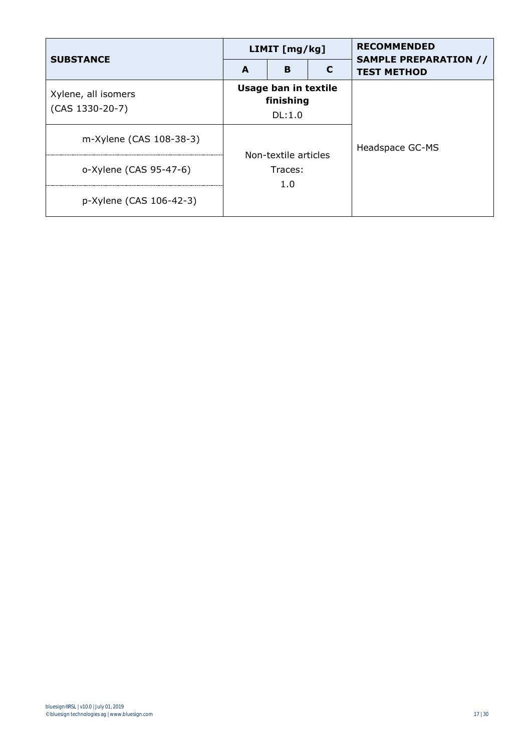| <b>SUBSTANCE</b>        | <b>LIMIT</b> [ $mg/kg$ ]                    |   |  | <b>RECOMMENDED</b>                                 |
|-------------------------|---------------------------------------------|---|--|----------------------------------------------------|
|                         | A                                           | B |  | <b>SAMPLE PREPARATION //</b><br><b>TEST METHOD</b> |
| Xylene, all isomers     | Usage ban in textile<br>finishing<br>DL:1.0 |   |  |                                                    |
| $(CAS 1330-20-7)$       |                                             |   |  |                                                    |
| m-Xylene (CAS 108-38-3) | Non-textile articles<br>Traces:<br>1.0      |   |  | Headspace GC-MS                                    |
| o-Xylene (CAS 95-47-6)  |                                             |   |  |                                                    |
| p-Xylene (CAS 106-42-3) |                                             |   |  |                                                    |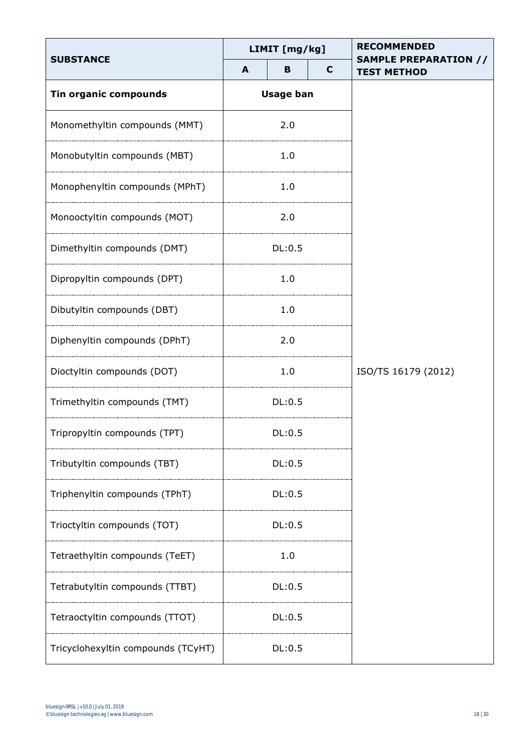| <b>SUBSTANCE</b>                   | LIMIT [mg/kg] |                  |             | <b>RECOMMENDED</b>                                 |  |  |
|------------------------------------|---------------|------------------|-------------|----------------------------------------------------|--|--|
|                                    | A             | B                | $\mathbf c$ | <b>SAMPLE PREPARATION //</b><br><b>TEST METHOD</b> |  |  |
| <b>Tin organic compounds</b>       |               | <b>Usage ban</b> |             |                                                    |  |  |
| Monomethyltin compounds (MMT)      | 2.0           |                  |             |                                                    |  |  |
| Monobutyltin compounds (MBT)       |               | 1.0              |             |                                                    |  |  |
| Monophenyltin compounds (MPhT)     |               | 1.0              |             |                                                    |  |  |
| Monooctyltin compounds (MOT)       |               | 2.0              |             |                                                    |  |  |
| Dimethyltin compounds (DMT)        |               | DL:0.5           |             |                                                    |  |  |
| Dipropyltin compounds (DPT)        |               | 1.0              |             |                                                    |  |  |
| Dibutyltin compounds (DBT)         | 1.0           |                  |             |                                                    |  |  |
| Diphenyltin compounds (DPhT)       | 2.0           |                  |             |                                                    |  |  |
| Dioctyltin compounds (DOT)         |               | 1.0              |             | ISO/TS 16179 (2012)                                |  |  |
| Trimethyltin compounds (TMT)       | DL:0.5        |                  |             |                                                    |  |  |
| Tripropyltin compounds (TPT)       | DL:0.5        |                  |             |                                                    |  |  |
| Tributyltin compounds (TBT)        |               | DL:0.5           |             |                                                    |  |  |
| Triphenyltin compounds (TPhT)      |               | DL:0.5           |             |                                                    |  |  |
| Trioctyltin compounds (TOT)        | DL:0.5        |                  |             |                                                    |  |  |
| Tetraethyltin compounds (TeET)     | 1.0           |                  |             |                                                    |  |  |
| Tetrabutyltin compounds (TTBT)     | DL:0.5        |                  |             |                                                    |  |  |
| Tetraoctyltin compounds (TTOT)     | DL:0.5        |                  |             |                                                    |  |  |
| Tricyclohexyltin compounds (TCyHT) | DL:0.5        |                  |             |                                                    |  |  |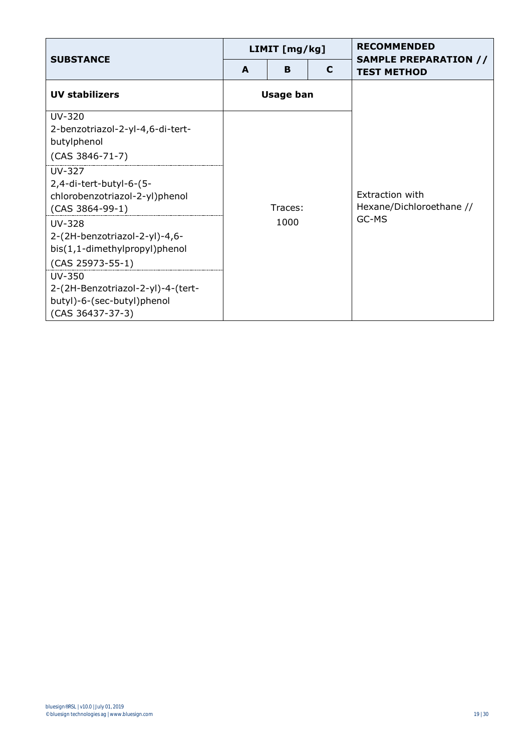| <b>SUBSTANCE</b>                                                                                 | LIMIT [mg/kg]    |   |   | <b>RECOMMENDED</b><br><b>SAMPLE PREPARATION //</b> |
|--------------------------------------------------------------------------------------------------|------------------|---|---|----------------------------------------------------|
|                                                                                                  | A                | B | C | <b>TEST METHOD</b>                                 |
| <b>UV stabilizers</b>                                                                            | <b>Usage ban</b> |   |   |                                                    |
| UV-320<br>2-benzotriazol-2-yl-4,6-di-tert-<br>butylphenol                                        | Traces:<br>1000  |   |   |                                                    |
| $(CAS 3846-71-7)$                                                                                |                  |   |   |                                                    |
| $UV-327$<br>2,4-di-tert-butyl-6-(5-<br>chlorobenzotriazol-2-yl)phenol<br>$(CAS 3864-99-1)$       |                  |   |   | Extraction with<br>Hexane/Dichloroethane //        |
| $UV-328$<br>2-(2H-benzotriazol-2-yl)-4,6-<br>bis(1,1-dimethylpropyl)phenol<br>$(CAS 25973-55-1)$ |                  |   |   | GC-MS                                              |
| $UV-350$<br>2-(2H-Benzotriazol-2-yl)-4-(tert-<br>butyl)-6-(sec-butyl)phenol<br>(CAS 36437-37-3)  |                  |   |   |                                                    |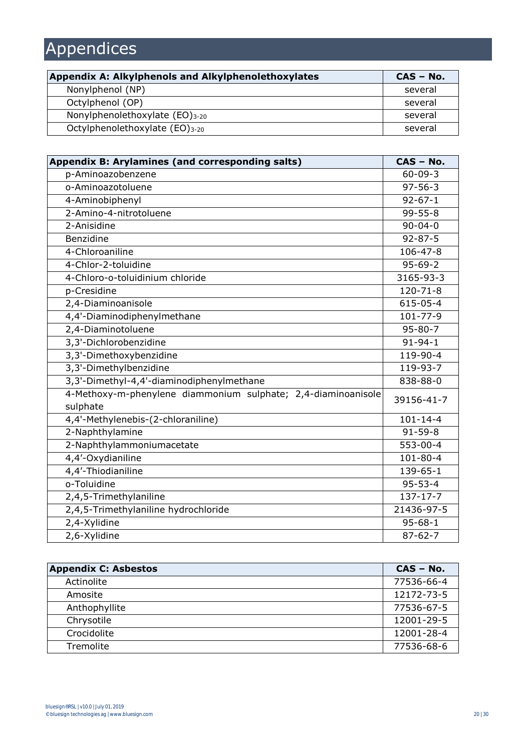## Appendices

| Appendix A: Alkylphenols and Alkylphenolethoxylates | $CAS - No.$ |
|-----------------------------------------------------|-------------|
| Nonylphenol (NP)                                    | several     |
| Octylphenol (OP)                                    | several     |
| Nonylphenolethoxylate $(EO)_{3-20}$                 | several     |
| Octylphenolethoxylate (EO)3-20                      | several     |

| Appendix B: Arylamines (and corresponding salts)                          | $CAS - No.$    |
|---------------------------------------------------------------------------|----------------|
| p-Aminoazobenzene                                                         | $60 - 09 - 3$  |
| o-Aminoazotoluene                                                         | $97 - 56 - 3$  |
| 4-Aminobiphenyl                                                           | $92 - 67 - 1$  |
| 2-Amino-4-nitrotoluene                                                    | $99 - 55 - 8$  |
| 2-Anisidine                                                               | $90 - 04 - 0$  |
| Benzidine                                                                 | $92 - 87 - 5$  |
| 4-Chloroaniline                                                           | $106 - 47 - 8$ |
| 4-Chlor-2-toluidine                                                       | $95 - 69 - 2$  |
| 4-Chloro-o-toluidinium chloride                                           | 3165-93-3      |
| p-Cresidine                                                               | $120 - 71 - 8$ |
| 2,4-Diaminoanisole                                                        | 615-05-4       |
| 4,4'-Diaminodiphenylmethane                                               | 101-77-9       |
| 2,4-Diaminotoluene                                                        | $95 - 80 - 7$  |
| 3,3'-Dichlorobenzidine                                                    | $91 - 94 - 1$  |
| 3,3'-Dimethoxybenzidine                                                   | $119-90-4$     |
| 3,3'-Dimethylbenzidine                                                    | 119-93-7       |
| 3,3'-Dimethyl-4,4'-diaminodiphenylmethane                                 | 838-88-0       |
| 4-Methoxy-m-phenylene diammonium sulphate; 2,4-diaminoanisole<br>sulphate | 39156-41-7     |
| 4,4'-Methylenebis-(2-chloraniline)                                        | $101 - 14 - 4$ |
| 2-Naphthylamine                                                           | $91 - 59 - 8$  |
| 2-Naphthylammoniumacetate                                                 | 553-00-4       |
| 4,4'-Oxydianiline                                                         | $101 - 80 - 4$ |
| 4,4'-Thiodianiline                                                        | 139-65-1       |
| o-Toluidine                                                               | $95 - 53 - 4$  |
| 2,4,5-Trimethylaniline                                                    | $137 - 17 - 7$ |
| 2,4,5-Trimethylaniline hydrochloride                                      | 21436-97-5     |
| 2,4-Xylidine                                                              | $95 - 68 - 1$  |
| 2,6-Xylidine                                                              | $87 - 62 - 7$  |

| <b>Appendix C: Asbestos</b> | $CAS - No.$ |
|-----------------------------|-------------|
| Actinolite                  | 77536-66-4  |
| Amosite                     | 12172-73-5  |
| Anthophyllite               | 77536-67-5  |
| Chrysotile                  | 12001-29-5  |
| Crocidolite                 | 12001-28-4  |
| Tremolite                   | 77536-68-6  |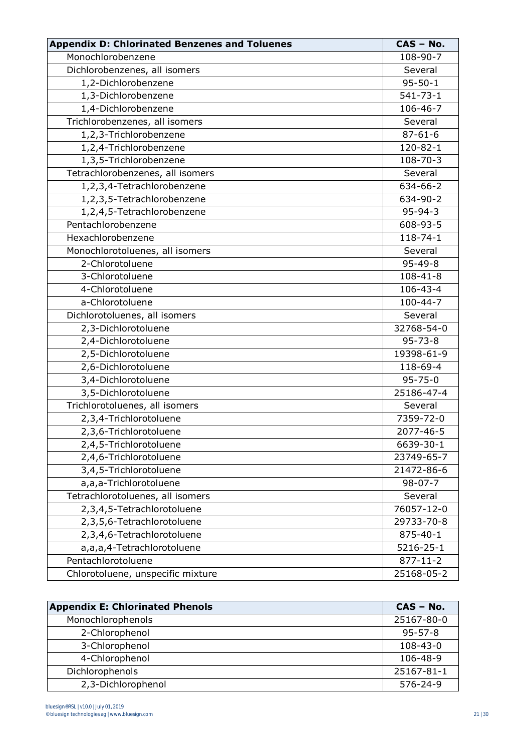| <b>Appendix D: Chlorinated Benzenes and Toluenes</b> | CAS - No.                 |
|------------------------------------------------------|---------------------------|
| Monochlorobenzene                                    | 108-90-7                  |
| Dichlorobenzenes, all isomers                        | Several                   |
| 1,2-Dichlorobenzene                                  | $95 - 50 - 1$             |
| 1,3-Dichlorobenzene                                  | $541 - 73 - 1$            |
| 1,4-Dichlorobenzene                                  | 106-46-7                  |
| Trichlorobenzenes, all isomers                       | Several                   |
| 1,2,3-Trichlorobenzene                               | $87 - 61 - 6$             |
| 1,2,4-Trichlorobenzene                               | 120-82-1                  |
| 1,3,5-Trichlorobenzene                               | $108 - 70 - 3$            |
| Tetrachlorobenzenes, all isomers                     | Several                   |
| 1,2,3,4-Tetrachlorobenzene                           | 634-66-2                  |
| 1,2,3,5-Tetrachlorobenzene                           | 634-90-2                  |
| 1,2,4,5-Tetrachlorobenzene                           | $95 - 94 - 3$             |
| Pentachlorobenzene                                   | 608-93-5                  |
| Hexachlorobenzene                                    | $118 - 74 - 1$            |
| Monochlorotoluenes, all isomers                      | Several                   |
| 2-Chlorotoluene                                      | $95 - 49 - 8$             |
| 3-Chlorotoluene                                      | $108 - 41 - 8$            |
| 4-Chlorotoluene                                      | 106-43-4                  |
| a-Chlorotoluene                                      | $\overline{1}00 - 44 - 7$ |
| Dichlorotoluenes, all isomers                        | Several                   |
| 2,3-Dichlorotoluene                                  | 32768-54-0                |
| 2,4-Dichlorotoluene                                  | $95 - 73 - 8$             |
| 2,5-Dichlorotoluene                                  | 19398-61-9                |
| 2,6-Dichlorotoluene                                  | 118-69-4                  |
| 3,4-Dichlorotoluene                                  | $95 - 75 - 0$             |
| 3,5-Dichlorotoluene                                  | 25186-47-4                |
| Trichlorotoluenes, all isomers                       | Several                   |
| 2,3,4-Trichlorotoluene                               | 7359-72-0                 |
| 2,3,6-Trichlorotoluene                               | 2077-46-5                 |
| 2,4,5-Trichlorotoluene                               | 6639-30-1                 |
| 2,4,6-Trichlorotoluene                               | 23749-65-7                |
| 3,4,5-Trichlorotoluene                               | 21472-86-6                |
| a,a,a-Trichlorotoluene                               | $98 - 07 - 7$             |
| Tetrachlorotoluenes, all isomers                     | Several                   |
| 2,3,4,5-Tetrachlorotoluene                           | 76057-12-0                |
| 2,3,5,6-Tetrachlorotoluene                           | 29733-70-8                |
| 2,3,4,6-Tetrachlorotoluene                           | $875 - 40 - 1$            |
| a,a,a,4-Tetrachlorotoluene                           | 5216-25-1                 |
| Pentachlorotoluene                                   | $877 - 11 - 2$            |
| Chlorotoluene, unspecific mixture                    | 25168-05-2                |

| <b>Appendix E: Chlorinated Phenols</b> | $CAS - No.$    |
|----------------------------------------|----------------|
| Monochlorophenols                      | 25167-80-0     |
| 2-Chlorophenol                         | $95 - 57 - 8$  |
| 3-Chlorophenol                         | $108 - 43 - 0$ |
| 4-Chlorophenol                         | 106-48-9       |
| Dichlorophenols                        | 25167-81-1     |
| 2,3-Dichlorophenol                     | $576 - 24 - 9$ |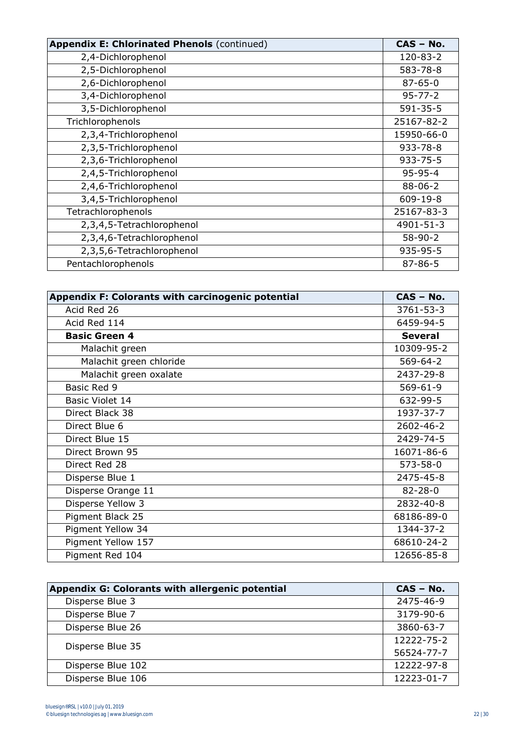| <b>Appendix E: Chlorinated Phenols (continued)</b> | CAS - No.      |
|----------------------------------------------------|----------------|
| 2,4-Dichlorophenol                                 | 120-83-2       |
| 2,5-Dichlorophenol                                 | 583-78-8       |
| 2,6-Dichlorophenol                                 | $87 - 65 - 0$  |
| 3,4-Dichlorophenol                                 | $95 - 77 - 2$  |
| 3,5-Dichlorophenol                                 | $591 - 35 - 5$ |
| Trichlorophenols                                   | 25167-82-2     |
| 2,3,4-Trichlorophenol                              | 15950-66-0     |
| 2,3,5-Trichlorophenol                              | $933 - 78 - 8$ |
| 2,3,6-Trichlorophenol                              | $933 - 75 - 5$ |
| 2,4,5-Trichlorophenol                              | $95 - 95 - 4$  |
| 2,4,6-Trichlorophenol                              | $88 - 06 - 2$  |
| 3,4,5-Trichlorophenol                              | 609-19-8       |
| Tetrachlorophenols                                 | 25167-83-3     |
| 2,3,4,5-Tetrachlorophenol                          | 4901-51-3      |
| 2,3,4,6-Tetrachlorophenol                          | $58-90-2$      |
| 2,3,5,6-Tetrachlorophenol                          | 935-95-5       |
| Pentachlorophenols                                 | $87 - 86 - 5$  |

| Appendix F: Colorants with carcinogenic potential | CAS - No.      |
|---------------------------------------------------|----------------|
| Acid Red 26                                       | 3761-53-3      |
| Acid Red 114                                      | 6459-94-5      |
| <b>Basic Green 4</b>                              | <b>Several</b> |
| Malachit green                                    | 10309-95-2     |
| Malachit green chloride                           | $569 - 64 - 2$ |
| Malachit green oxalate                            | 2437-29-8      |
| Basic Red 9                                       | $569 - 61 - 9$ |
| Basic Violet 14                                   | 632-99-5       |
| Direct Black 38                                   | 1937-37-7      |
| Direct Blue 6                                     | 2602-46-2      |
| Direct Blue 15                                    | 2429-74-5      |
| Direct Brown 95                                   | 16071-86-6     |
| Direct Red 28                                     | $573 - 58 - 0$ |
| Disperse Blue 1                                   | 2475-45-8      |
| Disperse Orange 11                                | $82 - 28 - 0$  |
| Disperse Yellow 3                                 | 2832-40-8      |
| Pigment Black 25                                  | 68186-89-0     |
| Pigment Yellow 34                                 | 1344-37-2      |
| Pigment Yellow 157                                | 68610-24-2     |
| Pigment Red 104                                   | 12656-85-8     |

| Appendix G: Colorants with allergenic potential | $CAS - No.$ |
|-------------------------------------------------|-------------|
| Disperse Blue 3                                 | 2475-46-9   |
| Disperse Blue 7                                 | 3179-90-6   |
| Disperse Blue 26                                | 3860-63-7   |
| Disperse Blue 35                                | 12222-75-2  |
|                                                 | 56524-77-7  |
| Disperse Blue 102                               | 12222-97-8  |
| Disperse Blue 106                               | 12223-01-7  |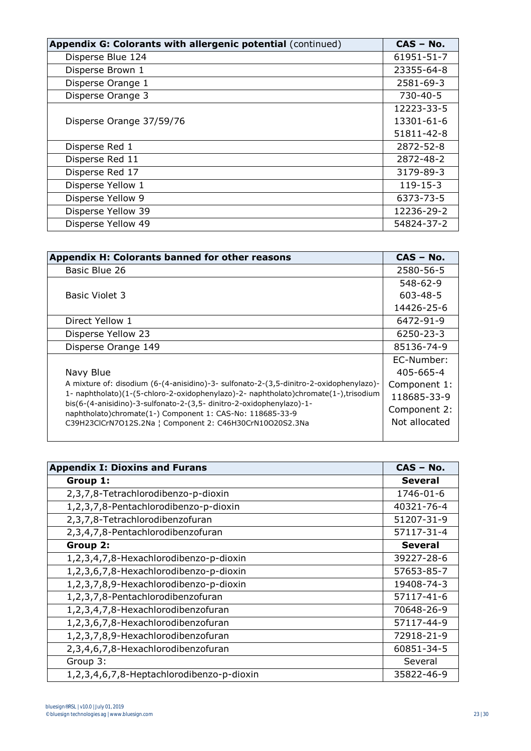| Appendix G: Colorants with allergenic potential (continued) | $CAS - No.$    |
|-------------------------------------------------------------|----------------|
| Disperse Blue 124                                           | 61951-51-7     |
| Disperse Brown 1                                            | 23355-64-8     |
| Disperse Orange 1                                           | 2581-69-3      |
| Disperse Orange 3                                           | 730-40-5       |
|                                                             | 12223-33-5     |
| Disperse Orange 37/59/76                                    | 13301-61-6     |
|                                                             | 51811-42-8     |
| Disperse Red 1                                              | 2872-52-8      |
| Disperse Red 11                                             | 2872-48-2      |
| Disperse Red 17                                             | 3179-89-3      |
| Disperse Yellow 1                                           | $119 - 15 - 3$ |
| Disperse Yellow 9                                           | 6373-73-5      |
| Disperse Yellow 39                                          | 12236-29-2     |
| Disperse Yellow 49                                          | 54824-37-2     |

| Appendix H: Colorants banned for other reasons                                                                                    | $CAS - No.$     |
|-----------------------------------------------------------------------------------------------------------------------------------|-----------------|
| Basic Blue 26                                                                                                                     | 2580-56-5       |
|                                                                                                                                   | 548-62-9        |
| <b>Basic Violet 3</b>                                                                                                             | $603 - 48 - 5$  |
|                                                                                                                                   | 14426-25-6      |
| Direct Yellow 1                                                                                                                   | 6472-91-9       |
| Disperse Yellow 23                                                                                                                | 6250-23-3       |
| Disperse Orange 149                                                                                                               | 85136-74-9      |
|                                                                                                                                   | EC-Number:      |
| Navy Blue                                                                                                                         | $405 - 665 - 4$ |
| A mixture of: disodium (6-(4-anisidino)-3- sulfonato-2-(3,5-dinitro-2-oxidophenylazo)-                                            | Component 1:    |
| 1- naphtholato)(1-(5-chloro-2-oxidophenylazo)-2- naphtholato)chromate(1-),trisodium                                               | 118685-33-9     |
| bis(6-(4-anisidino)-3-sulfonato-2-(3,5- dinitro-2-oxidophenylazo)-1-<br>naphtholato)chromate(1-) Component 1: CAS-No: 118685-33-9 | Component 2:    |
| C39H23ClCrN7O12S.2Na   Component 2: C46H30CrN10O20S2.3Na                                                                          | Not allocated   |
|                                                                                                                                   |                 |

| <b>Appendix I: Dioxins and Furans</b>     | $CAS - No.$    |
|-------------------------------------------|----------------|
| Group 1:                                  | <b>Several</b> |
| 2,3,7,8-Tetrachlorodibenzo-p-dioxin       | 1746-01-6      |
| 1,2,3,7,8-Pentachlorodibenzo-p-dioxin     | 40321-76-4     |
| 2,3,7,8-Tetrachlorodibenzofuran           | 51207-31-9     |
| 2,3,4,7,8-Pentachlorodibenzofuran         | 57117-31-4     |
| Group 2:                                  | <b>Several</b> |
| 1,2,3,4,7,8-Hexachlorodibenzo-p-dioxin    | 39227-28-6     |
| 1,2,3,6,7,8-Hexachlorodibenzo-p-dioxin    | 57653-85-7     |
| 1,2,3,7,8,9-Hexachlorodibenzo-p-dioxin    | 19408-74-3     |
| 1,2,3,7,8-Pentachlorodibenzofuran         | 57117-41-6     |
| 1,2,3,4,7,8-Hexachlorodibenzofuran        | 70648-26-9     |
| 1,2,3,6,7,8-Hexachlorodibenzofuran        | 57117-44-9     |
| 1,2,3,7,8,9-Hexachlorodibenzofuran        | 72918-21-9     |
| 2,3,4,6,7,8-Hexachlorodibenzofuran        | 60851-34-5     |
| Group 3:                                  | Several        |
| 1,2,3,4,6,7,8-Heptachlorodibenzo-p-dioxin | 35822-46-9     |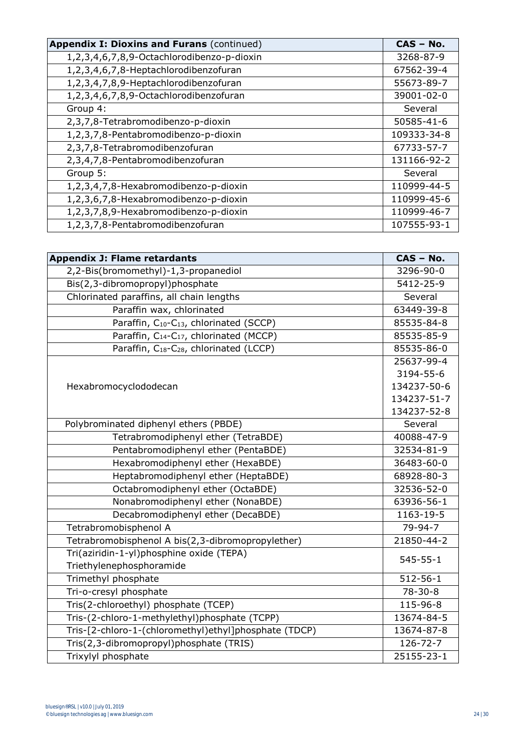| <b>Appendix I: Dioxins and Furans (continued)</b> | $CAS - No.$ |
|---------------------------------------------------|-------------|
| 1,2,3,4,6,7,8,9-Octachlorodibenzo-p-dioxin        | 3268-87-9   |
| 1,2,3,4,6,7,8-Heptachlorodibenzofuran             | 67562-39-4  |
| 1,2,3,4,7,8,9-Heptachlorodibenzofuran             | 55673-89-7  |
| 1,2,3,4,6,7,8,9-Octachlorodibenzofuran            | 39001-02-0  |
| Group 4:                                          | Several     |
| 2,3,7,8-Tetrabromodibenzo-p-dioxin                | 50585-41-6  |
| 1,2,3,7,8-Pentabromodibenzo-p-dioxin              | 109333-34-8 |
| 2,3,7,8-Tetrabromodibenzofuran                    | 67733-57-7  |
| 2,3,4,7,8-Pentabromodibenzofuran                  | 131166-92-2 |
| Group 5:                                          | Several     |
| 1,2,3,4,7,8-Hexabromodibenzo-p-dioxin             | 110999-44-5 |
| 1,2,3,6,7,8-Hexabromodibenzo-p-dioxin             | 110999-45-6 |
| 1,2,3,7,8,9-Hexabromodibenzo-p-dioxin             | 110999-46-7 |
| 1,2,3,7,8-Pentabromodibenzofuran                  | 107555-93-1 |

| <b>Appendix J: Flame retardants</b>                             | CAS - No.      |
|-----------------------------------------------------------------|----------------|
| 2,2-Bis(bromomethyl)-1,3-propanediol                            | 3296-90-0      |
| Bis(2,3-dibromopropyl)phosphate                                 | 5412-25-9      |
| Chlorinated paraffins, all chain lengths                        | Several        |
| Paraffin wax, chlorinated                                       | 63449-39-8     |
| Paraffin, C <sub>10</sub> -C <sub>13</sub> , chlorinated (SCCP) | 85535-84-8     |
| Paraffin, C <sub>14</sub> -C <sub>17</sub> , chlorinated (MCCP) | 85535-85-9     |
| Paraffin, C <sub>18</sub> -C <sub>28</sub> , chlorinated (LCCP) | 85535-86-0     |
|                                                                 | 25637-99-4     |
|                                                                 | 3194-55-6      |
| Hexabromocyclododecan                                           | 134237-50-6    |
|                                                                 | 134237-51-7    |
|                                                                 | 134237-52-8    |
| Polybrominated diphenyl ethers (PBDE)                           | Several        |
| Tetrabromodiphenyl ether (TetraBDE)                             | 40088-47-9     |
| Pentabromodiphenyl ether (PentaBDE)                             | 32534-81-9     |
| Hexabromodiphenyl ether (HexaBDE)                               | 36483-60-0     |
| Heptabromodiphenyl ether (HeptaBDE)                             | 68928-80-3     |
| Octabromodiphenyl ether (OctaBDE)                               | 32536-52-0     |
| Nonabromodiphenyl ether (NonaBDE)                               | 63936-56-1     |
| Decabromodiphenyl ether (DecaBDE)                               | 1163-19-5      |
| Tetrabromobisphenol A                                           | 79-94-7        |
| Tetrabromobisphenol A bis(2,3-dibromopropylether)               | 21850-44-2     |
| Tri(aziridin-1-yl)phosphine oxide (TEPA)                        | $545 - 55 - 1$ |
| Triethylenephosphoramide                                        |                |
| Trimethyl phosphate                                             | $512 - 56 - 1$ |
| Tri-o-cresyl phosphate                                          | $78 - 30 - 8$  |
| Tris(2-chloroethyl) phosphate (TCEP)                            | 115-96-8       |
| Tris-(2-chloro-1-methylethyl)phosphate (TCPP)                   | 13674-84-5     |
| Tris-[2-chloro-1-(chloromethyl)ethyl]phosphate (TDCP)           | 13674-87-8     |
| Tris(2,3-dibromopropyl)phosphate (TRIS)                         | 126-72-7       |
| Trixylyl phosphate                                              | 25155-23-1     |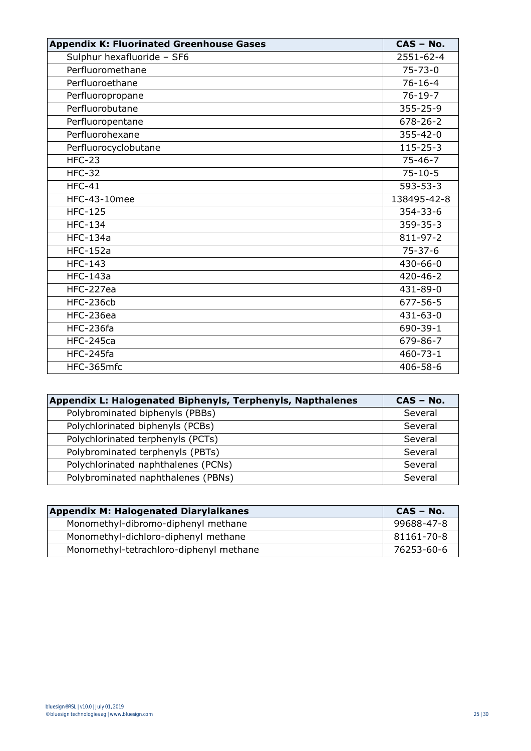| <b>Appendix K: Fluorinated Greenhouse Gases</b> | $CAS - No.$    |
|-------------------------------------------------|----------------|
| Sulphur hexafluoride - SF6                      | 2551-62-4      |
| Perfluoromethane                                | $75 - 73 - 0$  |
| Perfluoroethane                                 | $76 - 16 - 4$  |
| Perfluoropropane                                | $76 - 19 - 7$  |
| Perfluorobutane                                 | $355 - 25 - 9$ |
| Perfluoropentane                                | $678 - 26 - 2$ |
| Perfluorohexane                                 | $355 - 42 - 0$ |
| Perfluorocyclobutane                            | $115 - 25 - 3$ |
| $HFC-23$                                        | $75 - 46 - 7$  |
| $HFC-32$                                        | $75 - 10 - 5$  |
| $HFC-41$                                        | $593 - 53 - 3$ |
| <b>HFC-43-10mee</b>                             | 138495-42-8    |
| <b>HFC-125</b>                                  | 354-33-6       |
| <b>HFC-134</b>                                  | $359 - 35 - 3$ |
| <b>HFC-134a</b>                                 | 811-97-2       |
| <b>HFC-152a</b>                                 | $75 - 37 - 6$  |
| <b>HFC-143</b>                                  | $430 - 66 - 0$ |
| <b>HFC-143a</b>                                 | $420 - 46 - 2$ |
| HFC-227ea                                       | 431-89-0       |
| HFC-236cb                                       | 677-56-5       |
| HFC-236ea                                       | $431 - 63 - 0$ |
| HFC-236fa                                       | 690-39-1       |
| <b>HFC-245ca</b>                                | 679-86-7       |
| HFC-245fa                                       | $460 - 73 - 1$ |
| HFC-365mfc                                      | $406 - 58 - 6$ |

| Appendix L: Halogenated Biphenyls, Terphenyls, Napthalenes | CAS - No. |
|------------------------------------------------------------|-----------|
| Polybrominated biphenyls (PBBs)                            | Several   |
| Polychlorinated biphenyls (PCBs)                           | Several   |
| Polychlorinated terphenyls (PCTs)                          | Several   |
| Polybrominated terphenyls (PBTs)                           | Several   |
| Polychlorinated naphthalenes (PCNs)                        | Several   |
| Polybrominated naphthalenes (PBNs)                         | Several   |

| <b>Appendix M: Halogenated Diarylalkanes</b> | $CAS - No.$ |
|----------------------------------------------|-------------|
| Monomethyl-dibromo-diphenyl methane          | 99688-47-8  |
| Monomethyl-dichloro-diphenyl methane         | 81161-70-8  |
| Monomethyl-tetrachloro-diphenyl methane      | 76253-60-6  |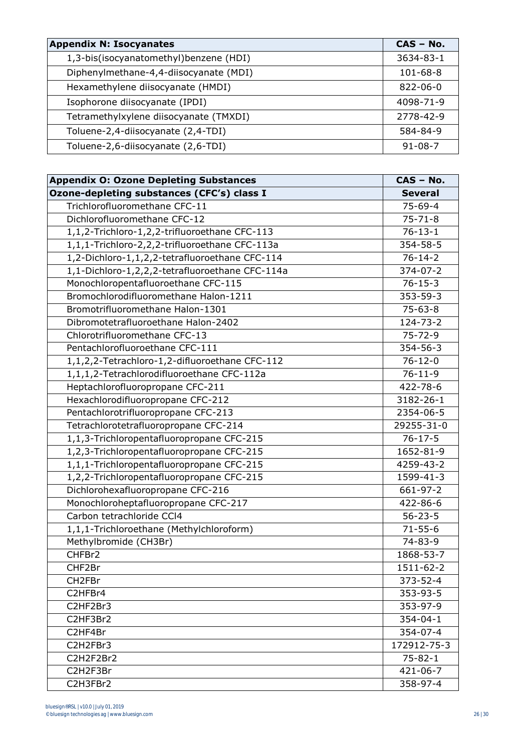| <b>Appendix N: Isocyanates</b>         | $CAS - No.$    |
|----------------------------------------|----------------|
| 1,3-bis(isocyanatomethyl)benzene (HDI) | 3634-83-1      |
| Diphenylmethane-4,4-diisocyanate (MDI) | $101 - 68 - 8$ |
| Hexamethylene diisocyanate (HMDI)      | $822 - 06 - 0$ |
| Isophorone diisocyanate (IPDI)         | 4098-71-9      |
| Tetramethylxylene diisocyanate (TMXDI) | 2778-42-9      |
| Toluene-2,4-diisocyanate (2,4-TDI)     | 584-84-9       |
| Toluene-2,6-diisocyanate (2,6-TDI)     | $91 - 08 - 7$  |

| <b>Appendix O: Ozone Depleting Substances</b>   | CAS - No.        |
|-------------------------------------------------|------------------|
| Ozone-depleting substances (CFC's) class I      | <b>Several</b>   |
| Trichlorofluoromethane CFC-11                   | $75 - 69 - 4$    |
| Dichlorofluoromethane CFC-12                    | $75 - 71 - 8$    |
| 1,1,2-Trichloro-1,2,2-trifluoroethane CFC-113   | $76 - 13 - 1$    |
| 1,1,1-Trichloro-2,2,2-trifluoroethane CFC-113a  | 354-58-5         |
| 1,2-Dichloro-1,1,2,2-tetrafluoroethane CFC-114  | $76 - 14 - 2$    |
| 1,1-Dichloro-1,2,2,2-tetrafluoroethane CFC-114a | 374-07-2         |
| Monochloropentafluoroethane CFC-115             | $76 - 15 - 3$    |
| Bromochlorodifluoromethane Halon-1211           | 353-59-3         |
| Bromotrifluoromethane Halon-1301                | $75 - 63 - 8$    |
| Dibromotetrafluoroethane Halon-2402             | 124-73-2         |
| Chlorotrifluoromethane CFC-13                   | $75 - 72 - 9$    |
| Pentachlorofluoroethane CFC-111                 | 354-56-3         |
| 1,1,2,2-Tetrachloro-1,2-difluoroethane CFC-112  | $76 - 12 - 0$    |
| 1,1,1,2-Tetrachlorodifluoroethane CFC-112a      | $76 - 11 - 9$    |
| Heptachlorofluoropropane CFC-211                | 422-78-6         |
| Hexachlorodifluoropropane CFC-212               | 3182-26-1        |
| Pentachlorotrifluoropropane CFC-213             | 2354-06-5        |
| Tetrachlorotetrafluoropropane CFC-214           | $29255 - 31 - 0$ |
| 1,1,3-Trichloropentafluoropropane CFC-215       | $76 - 17 - 5$    |
| 1,2,3-Trichloropentafluoropropane CFC-215       | 1652-81-9        |
| 1,1,1-Trichloropentafluoropropane CFC-215       | 4259-43-2        |
| 1,2,2-Trichloropentafluoropropane CFC-215       | 1599-41-3        |
| Dichlorohexafluoropropane CFC-216               | 661-97-2         |
| Monochloroheptafluoropropane CFC-217            | 422-86-6         |
| Carbon tetrachloride CCl4                       | $56 - 23 - 5$    |
| 1,1,1-Trichloroethane (Methylchloroform)        | $71 - 55 - 6$    |
| Methylbromide (CH3Br)                           | 74-83-9          |
| CHFBr2                                          | 1868-53-7        |
| CHF2Br                                          | 1511-62-2        |
| CH <sub>2FBr</sub>                              | 373-52-4         |
| C2HFBr4                                         | 353-93-5         |
| C2HF2Br3                                        | 353-97-9         |
| C2HF3Br2                                        | $354 - 04 - 1$   |
| C2HF4Br                                         | 354-07-4         |
| C2H2FBr3                                        | 172912-75-3      |
| C2H2F2Br2                                       | $75 - 82 - 1$    |
| C2H2F3Br                                        | $421 - 06 - 7$   |
| C2H3FBr2                                        | 358-97-4         |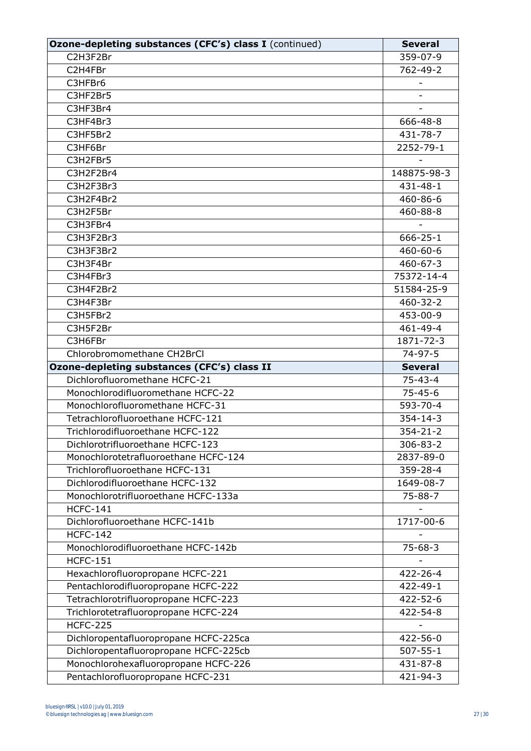| Ozone-depleting substances (CFC's) class I (continued)                    | <b>Several</b>       |
|---------------------------------------------------------------------------|----------------------|
| C2H3F2Br                                                                  | 359-07-9             |
| C2H4FBr                                                                   | 762-49-2             |
| C3HFBr6                                                                   |                      |
| C3HF2Br5                                                                  |                      |
| C3HF3Br4                                                                  |                      |
| C3HF4Br3                                                                  | 666-48-8             |
| C3HF5Br2                                                                  | 431-78-7             |
| C3HF6Br                                                                   | 2252-79-1            |
| C3H2FBr5                                                                  |                      |
| C3H2F2Br4                                                                 | 148875-98-3          |
| C3H2F3Br3                                                                 | $431 - 48 - 1$       |
| C3H2F4Br2                                                                 | 460-86-6             |
| C3H2F5Br                                                                  | 460-88-8             |
| C3H3FBr4                                                                  |                      |
| C3H3F2Br3                                                                 | $666 - 25 - 1$       |
| C3H3F3Br2                                                                 | $460 - 60 - 6$       |
| C3H3F4Br                                                                  | $460 - 67 - 3$       |
| C3H4FBr3                                                                  | 75372-14-4           |
| C3H4F2Br2                                                                 | 51584-25-9           |
| C3H4F3Br                                                                  | $460 - 32 - 2$       |
| C3H5FBr2                                                                  | 453-00-9             |
| C3H5F2Br                                                                  | 461-49-4             |
| C3H6FBr                                                                   | 1871-72-3            |
| Chlorobromomethane CH2BrCl                                                | $74 - 97 - 5$        |
|                                                                           |                      |
| Ozone-depleting substances (CFC's) class II                               | <b>Several</b>       |
| Dichlorofluoromethane HCFC-21                                             | $75 - 43 - 4$        |
| Monochlorodifluoromethane HCFC-22                                         | $75 - 45 - 6$        |
| Monochlorofluoromethane HCFC-31                                           | 593-70-4             |
| Tetrachlorofluoroethane HCFC-121                                          | $354 - 14 - 3$       |
| Trichlorodifluoroethane HCFC-122                                          | $354 - 21 - 2$       |
| Dichlorotrifluoroethane HCFC-123                                          | 306-83-2             |
| Monochlorotetrafluoroethane HCFC-124                                      | 2837-89-0            |
| Trichlorofluoroethane HCFC-131                                            | 359-28-4             |
| Dichlorodifluoroethane HCFC-132                                           | 1649-08-7            |
| Monochlorotrifluoroethane HCFC-133a                                       | $75 - 88 - 7$        |
| <b>HCFC-141</b>                                                           |                      |
| Dichlorofluoroethane HCFC-141b                                            | 1717-00-6            |
| <b>HCFC-142</b>                                                           |                      |
| Monochlorodifluoroethane HCFC-142b                                        | $75 - 68 - 3$        |
| <b>HCFC-151</b>                                                           |                      |
| Hexachlorofluoropropane HCFC-221                                          | $422 - 26 - 4$       |
| Pentachlorodifluoropropane HCFC-222                                       | $422 - 49 - 1$       |
| Tetrachlorotrifluoropropane HCFC-223                                      | 422-52-6             |
| Trichlorotetrafluoropropane HCFC-224                                      | 422-54-8             |
| <b>HCFC-225</b>                                                           |                      |
| Dichloropentafluoropropane HCFC-225ca                                     | 422-56-0             |
| Dichloropentafluoropropane HCFC-225cb                                     | $507 - 55 - 1$       |
| Monochlorohexafluoropropane HCFC-226<br>Pentachlorofluoropropane HCFC-231 | 431-87-8<br>421-94-3 |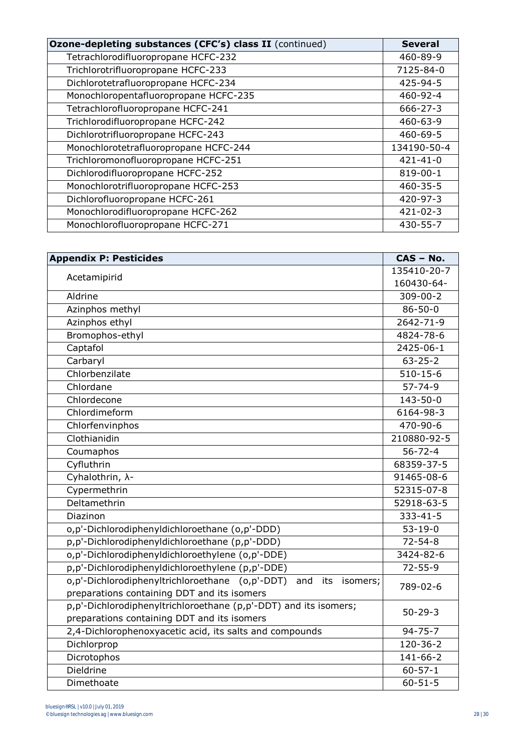| Ozone-depleting substances (CFC's) class II (continued) | <b>Several</b> |
|---------------------------------------------------------|----------------|
| Tetrachlorodifluoropropane HCFC-232                     | 460-89-9       |
| Trichlorotrifluoropropane HCFC-233                      | 7125-84-0      |
| Dichlorotetrafluoropropane HCFC-234                     | $425 - 94 - 5$ |
| Monochloropentafluoropropane HCFC-235                   | 460-92-4       |
| Tetrachlorofluoropropane HCFC-241                       | $666 - 27 - 3$ |
| Trichlorodifluoropropane HCFC-242                       | 460-63-9       |
| Dichlorotrifluoropropane HCFC-243                       | $460 - 69 - 5$ |
| Monochlorotetrafluoropropane HCFC-244                   | 134190-50-4    |
| Trichloromonofluoropropane HCFC-251                     | $421 - 41 - 0$ |
| Dichlorodifluoropropane HCFC-252                        | 819-00-1       |
| Monochlorotrifluoropropane HCFC-253                     | $460 - 35 - 5$ |
| Dichlorofluoropropane HCFC-261                          | 420-97-3       |
| Monochlorodifluoropropane HCFC-262                      | $421 - 02 - 3$ |
| Monochlorofluoropropane HCFC-271                        | 430-55-7       |

| <b>Appendix P: Pesticides</b>                                          | CAS - No.      |
|------------------------------------------------------------------------|----------------|
| Acetamipirid                                                           | 135410-20-7    |
|                                                                        | 160430-64-     |
| Aldrine                                                                | $309 - 00 - 2$ |
| Azinphos methyl                                                        | $86 - 50 - 0$  |
| Azinphos ethyl                                                         | 2642-71-9      |
| Bromophos-ethyl                                                        | 4824-78-6      |
| Captafol                                                               | 2425-06-1      |
| Carbaryl                                                               | $63 - 25 - 2$  |
| Chlorbenzilate                                                         | $510 - 15 - 6$ |
| Chlordane                                                              | $57 - 74 - 9$  |
| Chlordecone                                                            | 143-50-0       |
| Chlordimeform                                                          | 6164-98-3      |
| Chlorfenvinphos                                                        | 470-90-6       |
| Clothianidin                                                           | 210880-92-5    |
| Coumaphos                                                              | $56 - 72 - 4$  |
| Cyfluthrin                                                             | 68359-37-5     |
| Cyhalothrin, $\lambda$ -                                               | 91465-08-6     |
| Cypermethrin                                                           | 52315-07-8     |
| Deltamethrin                                                           | 52918-63-5     |
| Diazinon                                                               | $333 - 41 - 5$ |
| o,p'-Dichlorodiphenyldichloroethane (o,p'-DDD)                         | $53 - 19 - 0$  |
| p,p'-Dichlorodiphenyldichloroethane (p,p'-DDD)                         | $72 - 54 - 8$  |
| o,p'-Dichlorodiphenyldichloroethylene (o,p'-DDE)                       | 3424-82-6      |
| p,p'-Dichlorodiphenyldichloroethylene (p,p'-DDE)                       | $72 - 55 - 9$  |
| o,p'-Dichlorodiphenyltrichloroethane (o,p'-DDT)<br>and its<br>isomers; | 789-02-6       |
| preparations containing DDT and its isomers                            |                |
| p,p'-Dichlorodiphenyltrichloroethane (p,p'-DDT) and its isomers;       | $50 - 29 - 3$  |
| preparations containing DDT and its isomers                            |                |
| 2,4-Dichlorophenoxyacetic acid, its salts and compounds                | $94 - 75 - 7$  |
| Dichlorprop                                                            | $120 - 36 - 2$ |
| Dicrotophos                                                            | 141-66-2       |
| Dieldrine                                                              | $60 - 57 - 1$  |
| Dimethoate                                                             | $60 - 51 - 5$  |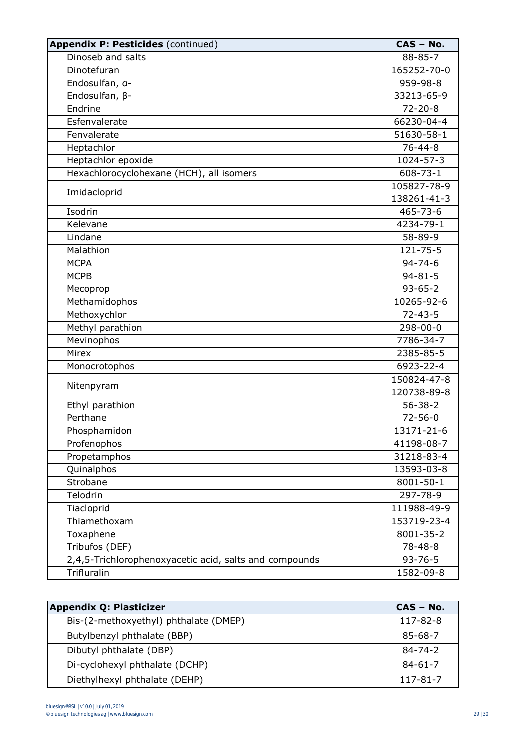| <b>Appendix P: Pesticides (continued)</b>              | CAS - No.       |
|--------------------------------------------------------|-----------------|
| Dinoseb and salts                                      | $88 - 85 - 7$   |
| Dinotefuran                                            | 165252-70-0     |
| Endosulfan, a-                                         | 959-98-8        |
| Endosulfan, $\beta$ -                                  | 33213-65-9      |
| Endrine                                                | $72 - 20 - 8$   |
| Esfenvalerate                                          | 66230-04-4      |
| Fenvalerate                                            | 51630-58-1      |
| Heptachlor                                             | $76 - 44 - 8$   |
| Heptachlor epoxide                                     | 1024-57-3       |
| Hexachlorocyclohexane (HCH), all isomers               | $608 - 73 - 1$  |
|                                                        | 105827-78-9     |
| Imidacloprid                                           | 138261-41-3     |
| Isodrin                                                | 465-73-6        |
| Kelevane                                               | 4234-79-1       |
| Lindane                                                | 58-89-9         |
| Malathion                                              | $121 - 75 - 5$  |
| <b>MCPA</b>                                            | $94 - 74 - 6$   |
| <b>MCPB</b>                                            | $94 - 81 - 5$   |
| Mecoprop                                               | $93 - 65 - 2$   |
| Methamidophos                                          | 10265-92-6      |
| Methoxychlor                                           | $72 - 43 - 5$   |
| Methyl parathion                                       | 298-00-0        |
| Mevinophos                                             | 7786-34-7       |
| Mirex                                                  | 2385-85-5       |
| Monocrotophos                                          | 6923-22-4       |
|                                                        | 150824-47-8     |
| Nitenpyram                                             | 120738-89-8     |
| Ethyl parathion                                        | $56 - 38 - 2$   |
| Perthane                                               | $72 - 56 - 0$   |
| Phosphamidon                                           | 13171-21-6      |
| Profenophos                                            | 41198-08-7      |
| Propetamphos                                           | 31218-83-4      |
| Quinalphos                                             | 13593-03-8      |
| Strobane                                               | 8001-50-1       |
| Telodrin                                               | 297-78-9        |
| Tiacloprid                                             | 111988-49-9     |
| Thiamethoxam                                           | 153719-23-4     |
| Toxaphene                                              | 8001-35-2       |
| Tribufos (DEF)                                         | $78 - 48 - 8$   |
| 2,4,5-Trichlorophenoxyacetic acid, salts and compounds | $93 - 76 - 5$   |
| Trifluralin                                            | $1582 - 09 - 8$ |

| <b>Appendix Q: Plasticizer</b>        | $CAS - No.$    |
|---------------------------------------|----------------|
| Bis-(2-methoxyethyl) phthalate (DMEP) | 117-82-8       |
| Butylbenzyl phthalate (BBP)           | 85-68-7        |
| Dibutyl phthalate (DBP)               | $84 - 74 - 2$  |
| Di-cyclohexyl phthalate (DCHP)        | $84 - 61 - 7$  |
| Diethylhexyl phthalate (DEHP)         | $117 - 81 - 7$ |